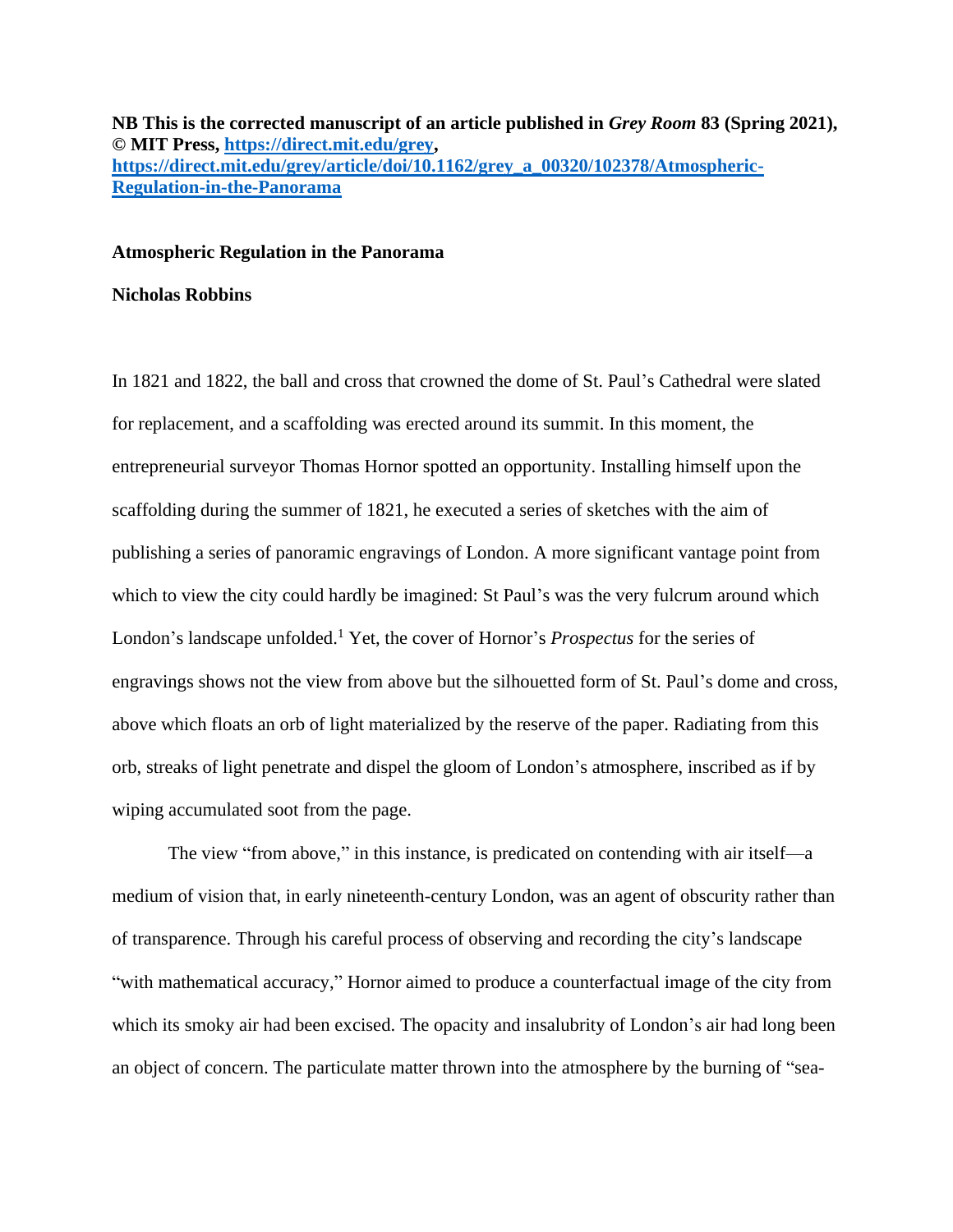**NB This is the corrected manuscript of an article published in** *Grey Room* **83 (Spring 2021), © MIT Press, [https://direct.mit.edu/grey,](https://direct.mit.edu/grey) [https://direct.mit.edu/grey/article/doi/10.1162/grey\\_a\\_00320/102378/Atmospheric-](https://direct.mit.edu/grey/article/doi/10.1162/grey_a_00320/102378/Atmospheric-Regulation-in-the-Panorama)[Regulation-in-the-Panorama](https://direct.mit.edu/grey/article/doi/10.1162/grey_a_00320/102378/Atmospheric-Regulation-in-the-Panorama)**

## **Atmospheric Regulation in the Panorama**

### **Nicholas Robbins**

In 1821 and 1822, the ball and cross that crowned the dome of St. Paul's Cathedral were slated for replacement, and a scaffolding was erected around its summit. In this moment, the entrepreneurial surveyor Thomas Hornor spotted an opportunity. Installing himself upon the scaffolding during the summer of 1821, he executed a series of sketches with the aim of publishing a series of panoramic engravings of London. A more significant vantage point from which to view the city could hardly be imagined: St Paul's was the very fulcrum around which London's landscape unfolded.<sup>1</sup> Yet, the cover of Hornor's *Prospectus* for the series of engravings shows not the view from above but the silhouetted form of St. Paul's dome and cross, above which floats an orb of light materialized by the reserve of the paper. Radiating from this orb, streaks of light penetrate and dispel the gloom of London's atmosphere, inscribed as if by wiping accumulated soot from the page.

The view "from above," in this instance, is predicated on contending with air itself—a medium of vision that, in early nineteenth-century London, was an agent of obscurity rather than of transparence. Through his careful process of observing and recording the city's landscape "with mathematical accuracy," Hornor aimed to produce a counterfactual image of the city from which its smoky air had been excised. The opacity and insalubrity of London's air had long been an object of concern. The particulate matter thrown into the atmosphere by the burning of "sea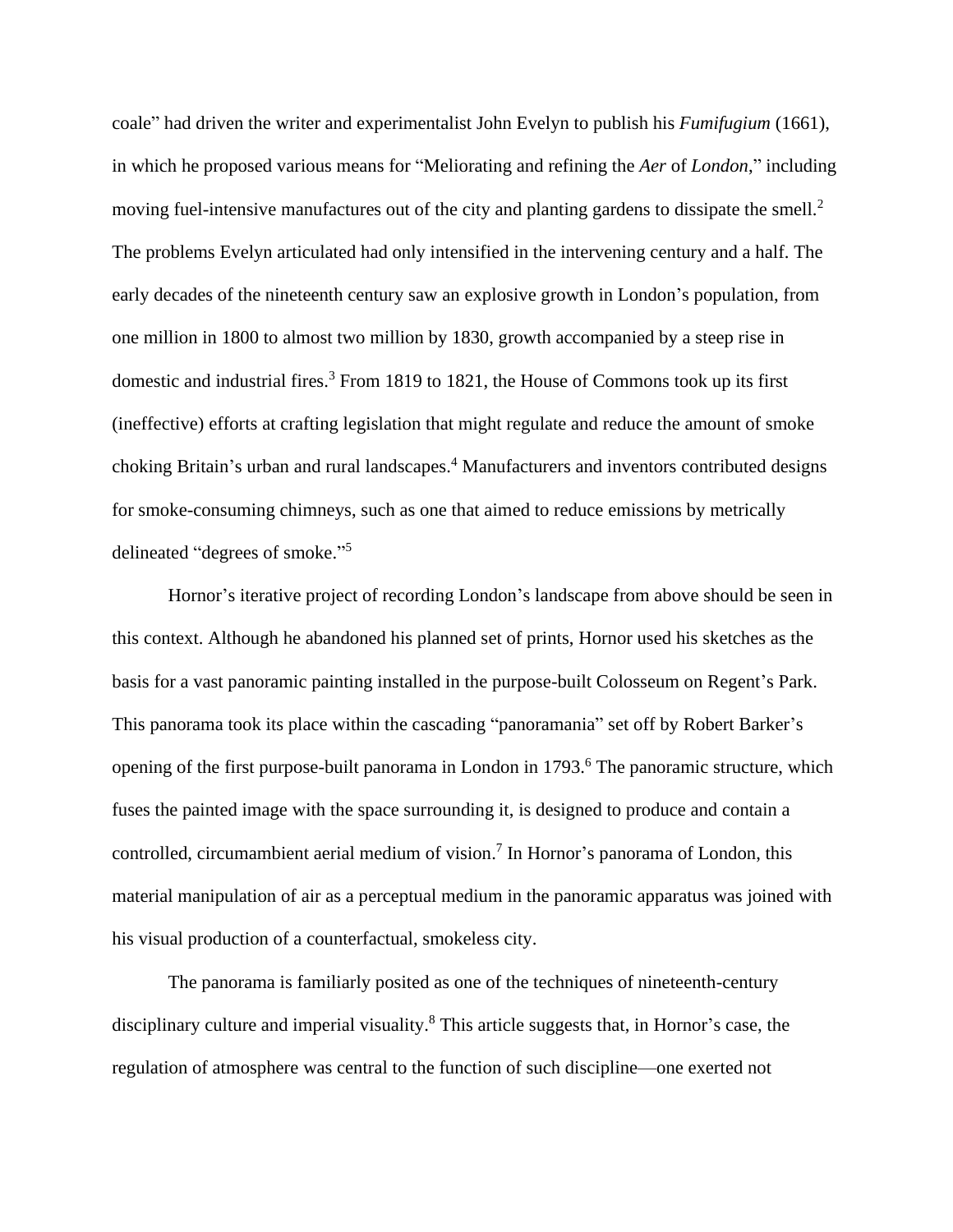coale" had driven the writer and experimentalist John Evelyn to publish his *Fumifugium* (1661), in which he proposed various means for "Meliorating and refining the *Aer* of *London*," including moving fuel-intensive manufactures out of the city and planting gardens to dissipate the smell.<sup>2</sup> The problems Evelyn articulated had only intensified in the intervening century and a half. The early decades of the nineteenth century saw an explosive growth in London's population, from one million in 1800 to almost two million by 1830, growth accompanied by a steep rise in domestic and industrial fires. <sup>3</sup> From 1819 to 1821, the House of Commons took up its first (ineffective) efforts at crafting legislation that might regulate and reduce the amount of smoke choking Britain's urban and rural landscapes. <sup>4</sup> Manufacturers and inventors contributed designs for smoke-consuming chimneys, such as one that aimed to reduce emissions by metrically delineated "degrees of smoke."<sup>5</sup>

Hornor's iterative project of recording London's landscape from above should be seen in this context. Although he abandoned his planned set of prints, Hornor used his sketches as the basis for a vast panoramic painting installed in the purpose-built Colosseum on Regent's Park. This panorama took its place within the cascading "panoramania" set off by Robert Barker's opening of the first purpose-built panorama in London in 1793. <sup>6</sup> The panoramic structure, which fuses the painted image with the space surrounding it, is designed to produce and contain a controlled, circumambient aerial medium of vision. 7 In Hornor's panorama of London, this material manipulation of air as a perceptual medium in the panoramic apparatus was joined with his visual production of a counterfactual, smokeless city.

The panorama is familiarly posited as one of the techniques of nineteenth-century disciplinary culture and imperial visuality.<sup>8</sup> This article suggests that, in Hornor's case, the regulation of atmosphere was central to the function of such discipline—one exerted not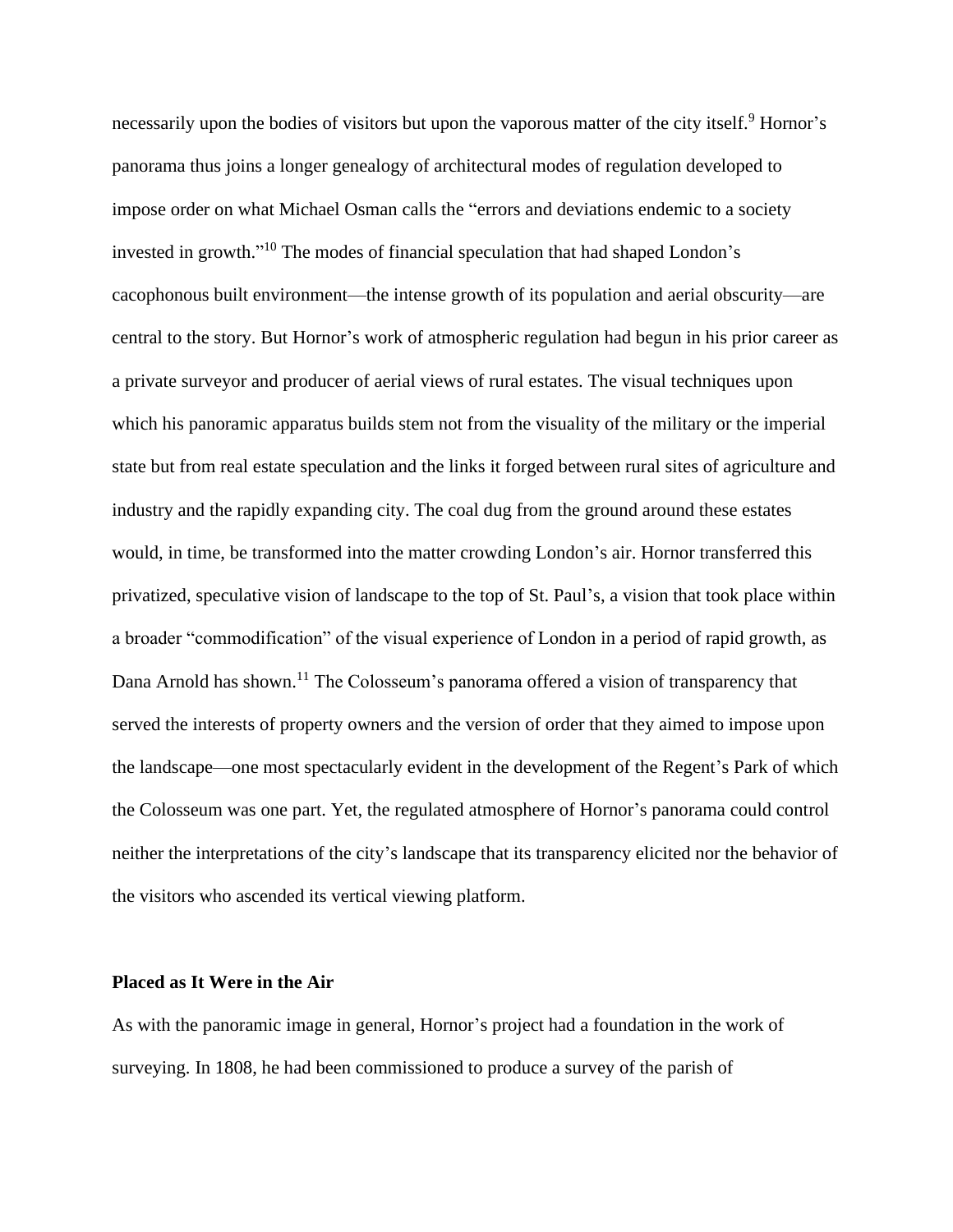necessarily upon the bodies of visitors but upon the vaporous matter of the city itself.<sup>9</sup> Hornor's panorama thus joins a longer genealogy of architectural modes of regulation developed to impose order on what Michael Osman calls the "errors and deviations endemic to a society invested in growth." <sup>10</sup> The modes of financial speculation that had shaped London's cacophonous built environment—the intense growth of its population and aerial obscurity—are central to the story. But Hornor's work of atmospheric regulation had begun in his prior career as a private surveyor and producer of aerial views of rural estates. The visual techniques upon which his panoramic apparatus builds stem not from the visuality of the military or the imperial state but from real estate speculation and the links it forged between rural sites of agriculture and industry and the rapidly expanding city. The coal dug from the ground around these estates would, in time, be transformed into the matter crowding London's air. Hornor transferred this privatized, speculative vision of landscape to the top of St. Paul's, a vision that took place within a broader "commodification" of the visual experience of London in a period of rapid growth, as Dana Arnold has shown.<sup>11</sup> The Colosseum's panorama offered a vision of transparency that served the interests of property owners and the version of order that they aimed to impose upon the landscape—one most spectacularly evident in the development of the Regent's Park of which the Colosseum was one part. Yet, the regulated atmosphere of Hornor's panorama could control neither the interpretations of the city's landscape that its transparency elicited nor the behavior of the visitors who ascended its vertical viewing platform.

#### **Placed as It Were in the Air**

As with the panoramic image in general, Hornor's project had a foundation in the work of surveying. In 1808, he had been commissioned to produce a survey of the parish of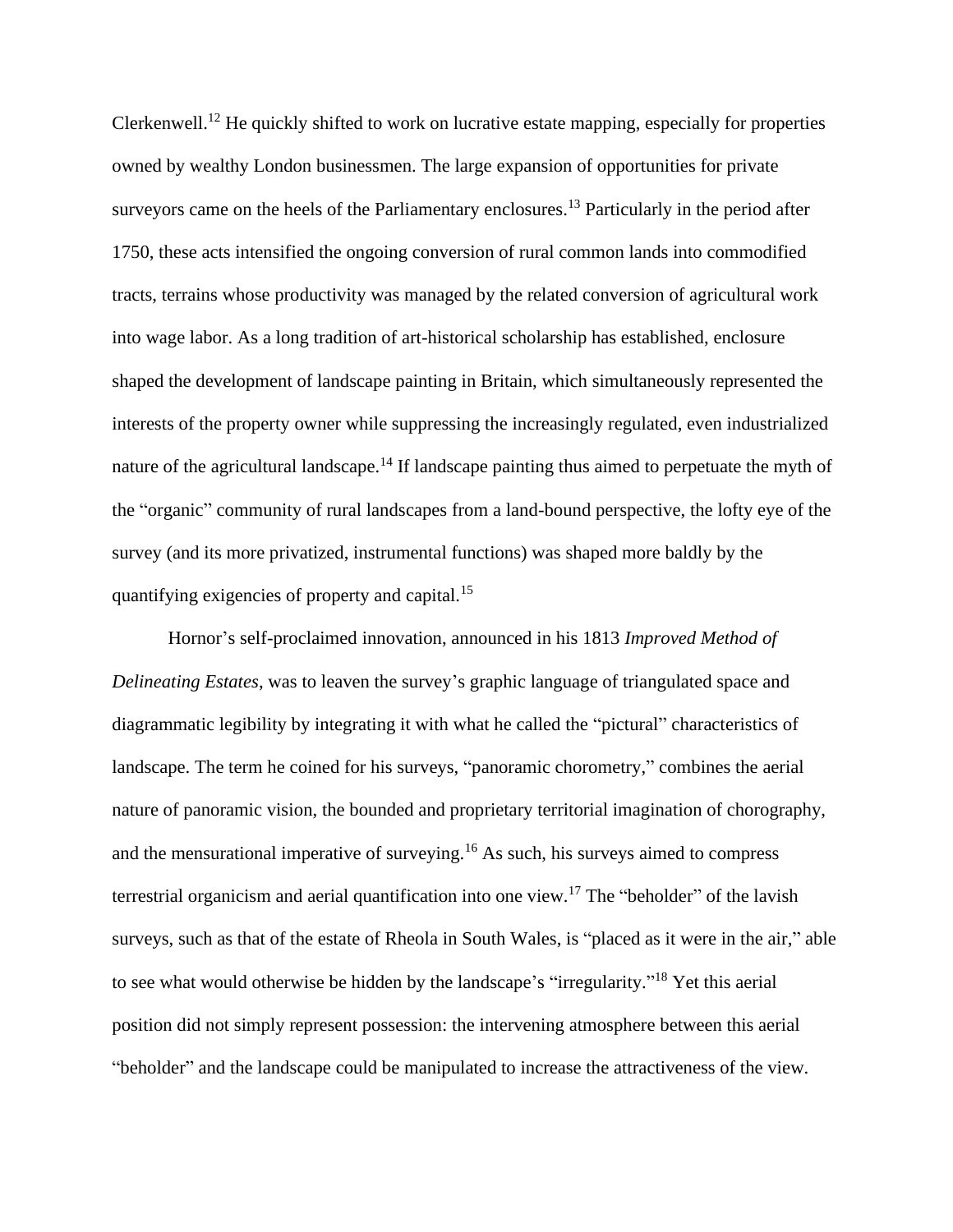Clerkenwell.<sup>12</sup> He quickly shifted to work on lucrative estate mapping, especially for properties owned by wealthy London businessmen. The large expansion of opportunities for private surveyors came on the heels of the Parliamentary enclosures.<sup>13</sup> Particularly in the period after 1750, these acts intensified the ongoing conversion of rural common lands into commodified tracts, terrains whose productivity was managed by the related conversion of agricultural work into wage labor. As a long tradition of art-historical scholarship has established, enclosure shaped the development of landscape painting in Britain, which simultaneously represented the interests of the property owner while suppressing the increasingly regulated, even industrialized nature of the agricultural landscape.<sup>14</sup> If landscape painting thus aimed to perpetuate the myth of the "organic" community of rural landscapes from a land-bound perspective, the lofty eye of the survey (and its more privatized, instrumental functions) was shaped more baldly by the quantifying exigencies of property and capital.<sup>15</sup>

Hornor's self-proclaimed innovation, announced in his 1813 *Improved Method of Delineating Estates*, was to leaven the survey's graphic language of triangulated space and diagrammatic legibility by integrating it with what he called the "pictural" characteristics of landscape. The term he coined for his surveys, "panoramic chorometry," combines the aerial nature of panoramic vision, the bounded and proprietary territorial imagination of chorography, and the mensurational imperative of surveying.<sup>16</sup> As such, his surveys aimed to compress terrestrial organicism and aerial quantification into one view.<sup>17</sup> The "beholder" of the lavish surveys, such as that of the estate of Rheola in South Wales, is "placed as it were in the air," able to see what would otherwise be hidden by the landscape's "irregularity."<sup>18</sup> Yet this aerial position did not simply represent possession: the intervening atmosphere between this aerial "beholder" and the landscape could be manipulated to increase the attractiveness of the view.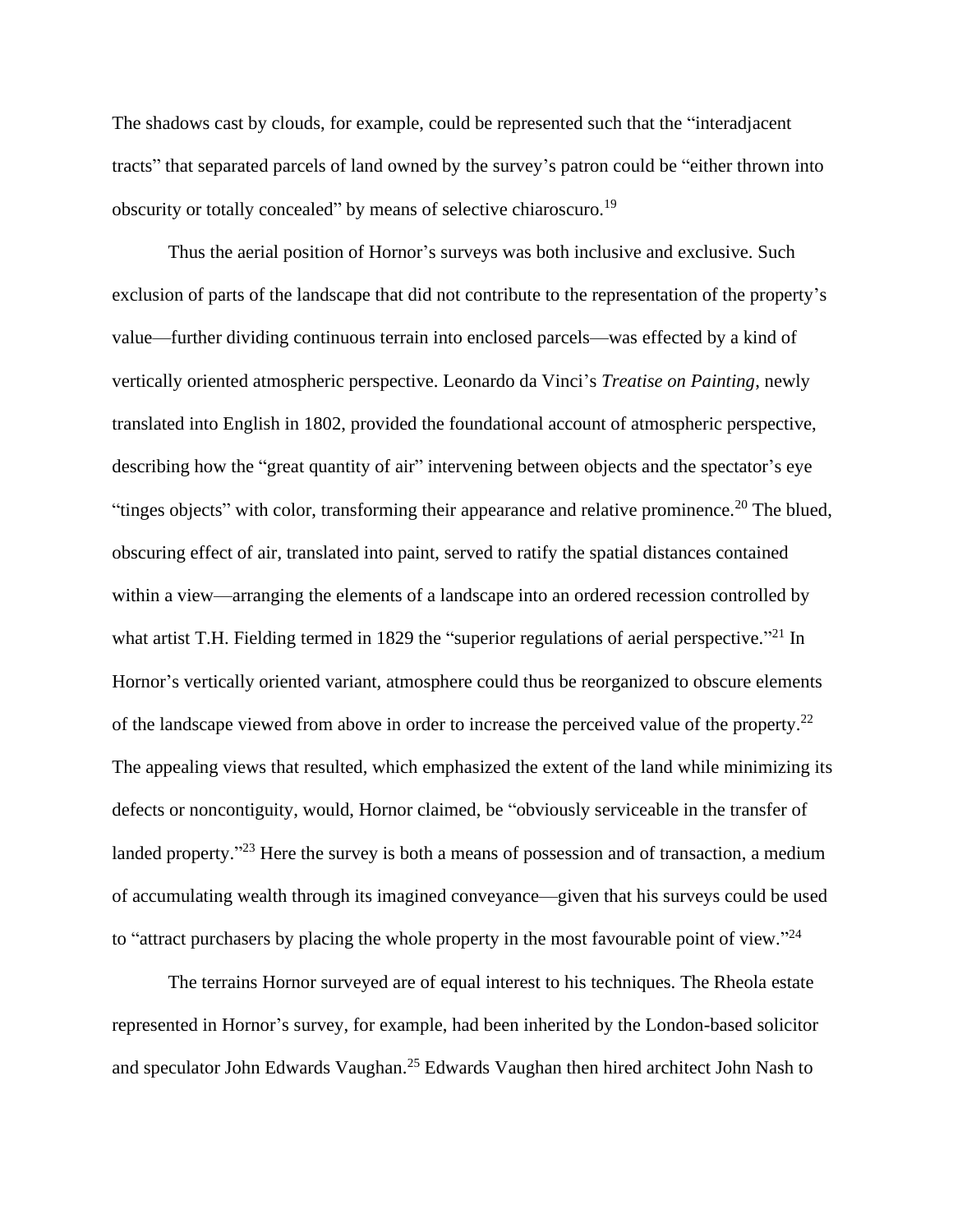The shadows cast by clouds, for example, could be represented such that the "interadjacent tracts" that separated parcels of land owned by the survey's patron could be "either thrown into obscurity or totally concealed" by means of selective chiaroscuro.<sup>19</sup>

Thus the aerial position of Hornor's surveys was both inclusive and exclusive. Such exclusion of parts of the landscape that did not contribute to the representation of the property's value—further dividing continuous terrain into enclosed parcels—was effected by a kind of vertically oriented atmospheric perspective. Leonardo da Vinci's *Treatise on Painting*, newly translated into English in 1802, provided the foundational account of atmospheric perspective, describing how the "great quantity of air" intervening between objects and the spectator's eye "tinges objects" with color, transforming their appearance and relative prominence.<sup>20</sup> The blued, obscuring effect of air, translated into paint, served to ratify the spatial distances contained within a view—arranging the elements of a landscape into an ordered recession controlled by what artist T.H. Fielding termed in 1829 the "superior regulations of aerial perspective."<sup>21</sup> In Hornor's vertically oriented variant, atmosphere could thus be reorganized to obscure elements of the landscape viewed from above in order to increase the perceived value of the property.<sup>22</sup> The appealing views that resulted, which emphasized the extent of the land while minimizing its defects or noncontiguity, would, Hornor claimed, be "obviously serviceable in the transfer of landed property."<sup>23</sup> Here the survey is both a means of possession and of transaction, a medium of accumulating wealth through its imagined conveyance—given that his surveys could be used to "attract purchasers by placing the whole property in the most favourable point of view."<sup>24</sup>

The terrains Hornor surveyed are of equal interest to his techniques. The Rheola estate represented in Hornor's survey, for example, had been inherited by the London-based solicitor and speculator John Edwards Vaughan.<sup>25</sup> Edwards Vaughan then hired architect John Nash to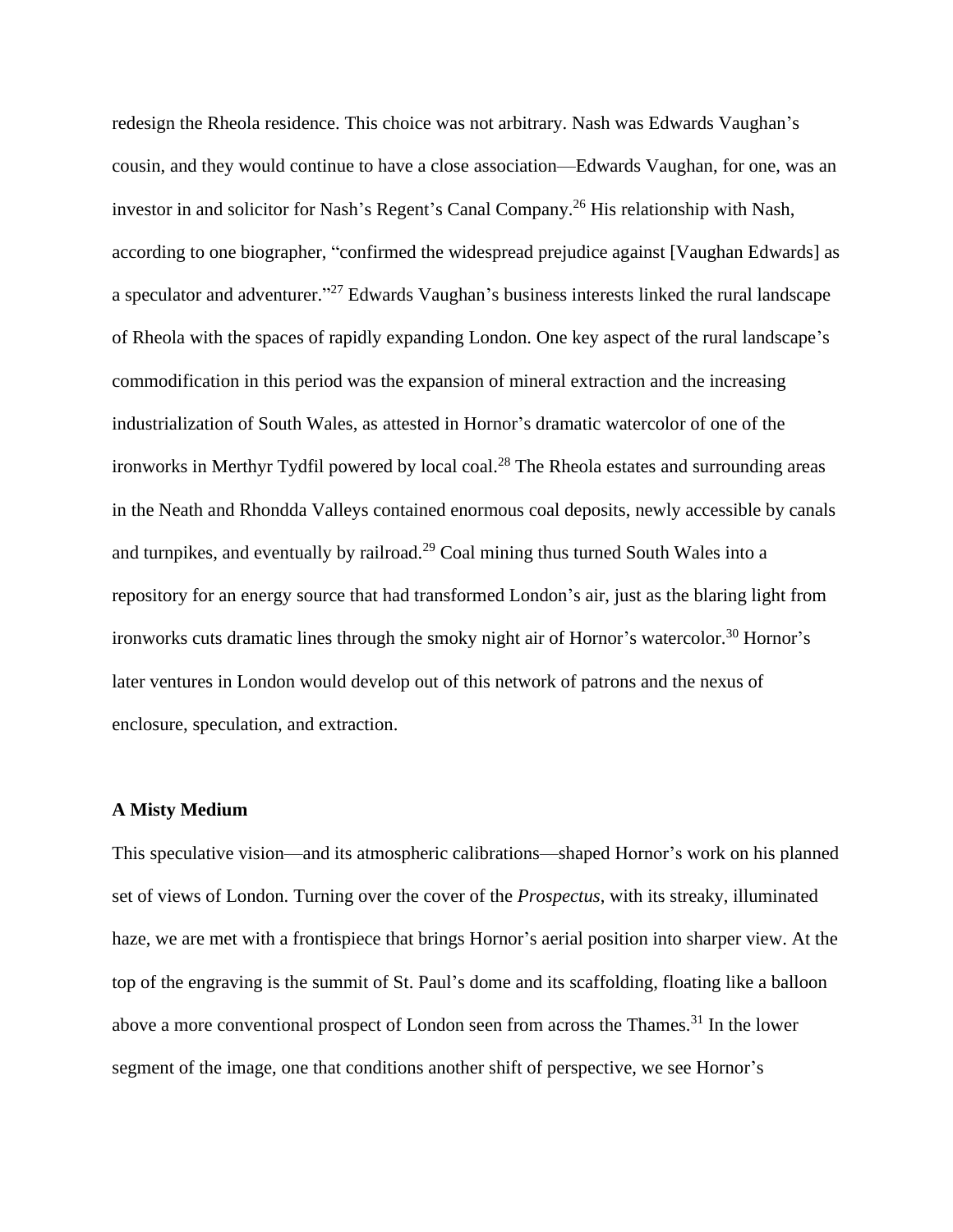redesign the Rheola residence. This choice was not arbitrary. Nash was Edwards Vaughan's cousin, and they would continue to have a close association—Edwards Vaughan, for one, was an investor in and solicitor for Nash's Regent's Canal Company.<sup>26</sup> His relationship with Nash, according to one biographer, "confirmed the widespread prejudice against [Vaughan Edwards] as a speculator and adventurer."<sup>27</sup> Edwards Vaughan's business interests linked the rural landscape of Rheola with the spaces of rapidly expanding London. One key aspect of the rural landscape's commodification in this period was the expansion of mineral extraction and the increasing industrialization of South Wales, as attested in Hornor's dramatic watercolor of one of the ironworks in Merthyr Tydfil powered by local coal.<sup>28</sup> The Rheola estates and surrounding areas in the Neath and Rhondda Valleys contained enormous coal deposits, newly accessible by canals and turnpikes, and eventually by railroad.<sup>29</sup> Coal mining thus turned South Wales into a repository for an energy source that had transformed London's air, just as the blaring light from ironworks cuts dramatic lines through the smoky night air of Hornor's watercolor.<sup>30</sup> Hornor's later ventures in London would develop out of this network of patrons and the nexus of enclosure, speculation, and extraction.

### **A Misty Medium**

This speculative vision—and its atmospheric calibrations—shaped Hornor's work on his planned set of views of London. Turning over the cover of the *Prospectus*, with its streaky, illuminated haze, we are met with a frontispiece that brings Hornor's aerial position into sharper view. At the top of the engraving is the summit of St. Paul's dome and its scaffolding, floating like a balloon above a more conventional prospect of London seen from across the Thames.<sup>31</sup> In the lower segment of the image, one that conditions another shift of perspective, we see Hornor's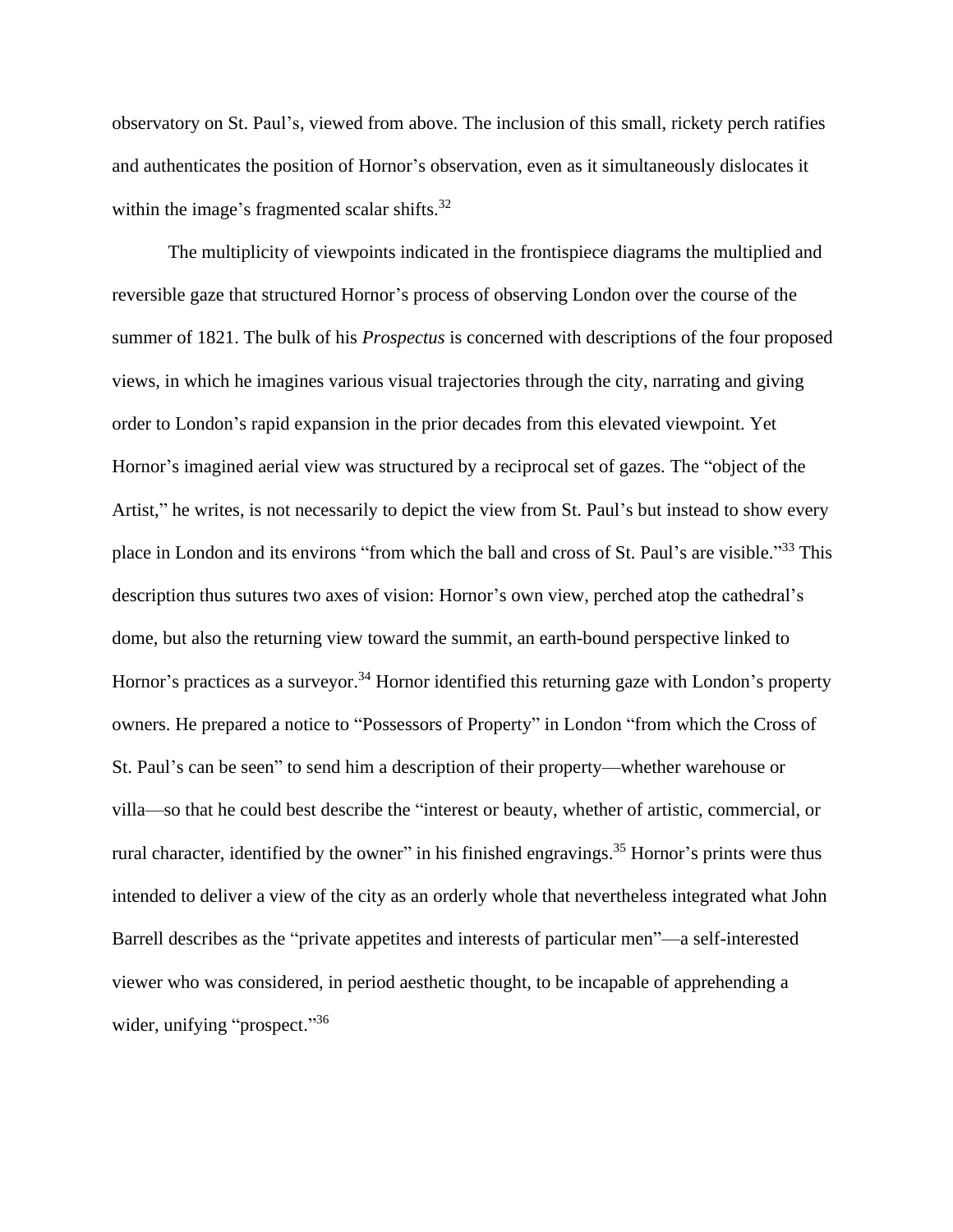observatory on St. Paul's, viewed from above. The inclusion of this small, rickety perch ratifies and authenticates the position of Hornor's observation, even as it simultaneously dislocates it within the image's fragmented scalar shifts.<sup>32</sup>

The multiplicity of viewpoints indicated in the frontispiece diagrams the multiplied and reversible gaze that structured Hornor's process of observing London over the course of the summer of 1821. The bulk of his *Prospectus* is concerned with descriptions of the four proposed views, in which he imagines various visual trajectories through the city, narrating and giving order to London's rapid expansion in the prior decades from this elevated viewpoint. Yet Hornor's imagined aerial view was structured by a reciprocal set of gazes. The "object of the Artist," he writes, is not necessarily to depict the view from St. Paul's but instead to show every place in London and its environs "from which the ball and cross of St. Paul's are visible."<sup>33</sup> This description thus sutures two axes of vision: Hornor's own view, perched atop the cathedral's dome, but also the returning view toward the summit, an earth-bound perspective linked to Hornor's practices as a surveyor.<sup>34</sup> Hornor identified this returning gaze with London's property owners. He prepared a notice to "Possessors of Property" in London "from which the Cross of St. Paul's can be seen" to send him a description of their property—whether warehouse or villa—so that he could best describe the "interest or beauty, whether of artistic, commercial, or rural character, identified by the owner" in his finished engravings.<sup>35</sup> Hornor's prints were thus intended to deliver a view of the city as an orderly whole that nevertheless integrated what John Barrell describes as the "private appetites and interests of particular men"—a self-interested viewer who was considered, in period aesthetic thought, to be incapable of apprehending a wider, unifying "prospect."<sup>36</sup>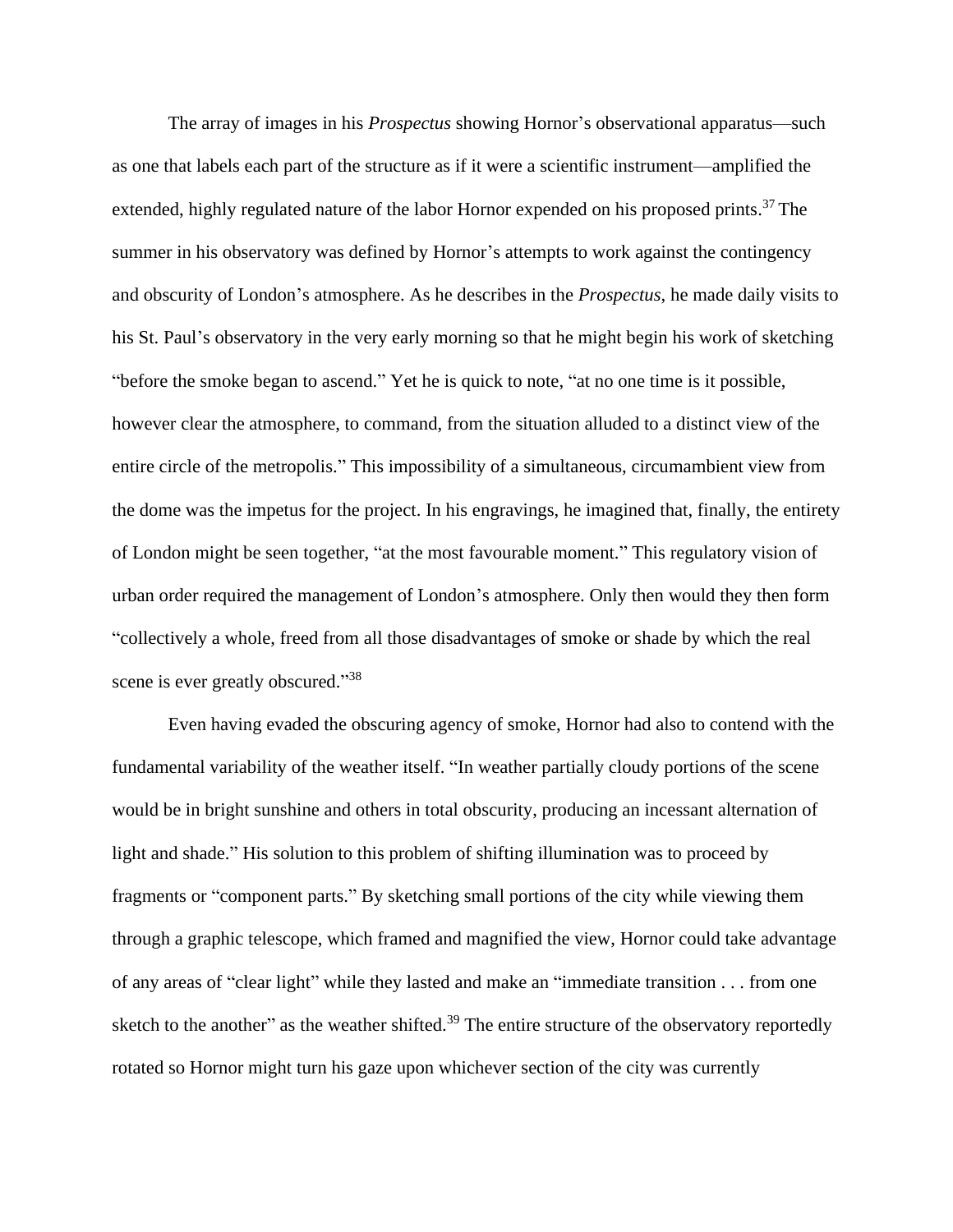The array of images in his *Prospectus* showing Hornor's observational apparatus—such as one that labels each part of the structure as if it were a scientific instrument—amplified the extended, highly regulated nature of the labor Hornor expended on his proposed prints.<sup>37</sup> The summer in his observatory was defined by Hornor's attempts to work against the contingency and obscurity of London's atmosphere. As he describes in the *Prospectus*, he made daily visits to his St. Paul's observatory in the very early morning so that he might begin his work of sketching "before the smoke began to ascend." Yet he is quick to note, "at no one time is it possible, however clear the atmosphere, to command, from the situation alluded to a distinct view of the entire circle of the metropolis." This impossibility of a simultaneous, circumambient view from the dome was the impetus for the project. In his engravings, he imagined that, finally, the entirety of London might be seen together, "at the most favourable moment." This regulatory vision of urban order required the management of London's atmosphere. Only then would they then form "collectively a whole, freed from all those disadvantages of smoke or shade by which the real scene is ever greatly obscured."<sup>38</sup>

Even having evaded the obscuring agency of smoke, Hornor had also to contend with the fundamental variability of the weather itself. "In weather partially cloudy portions of the scene would be in bright sunshine and others in total obscurity, producing an incessant alternation of light and shade." His solution to this problem of shifting illumination was to proceed by fragments or "component parts." By sketching small portions of the city while viewing them through a graphic telescope, which framed and magnified the view, Hornor could take advantage of any areas of "clear light" while they lasted and make an "immediate transition . . . from one sketch to the another" as the weather shifted.<sup>39</sup> The entire structure of the observatory reportedly rotated so Hornor might turn his gaze upon whichever section of the city was currently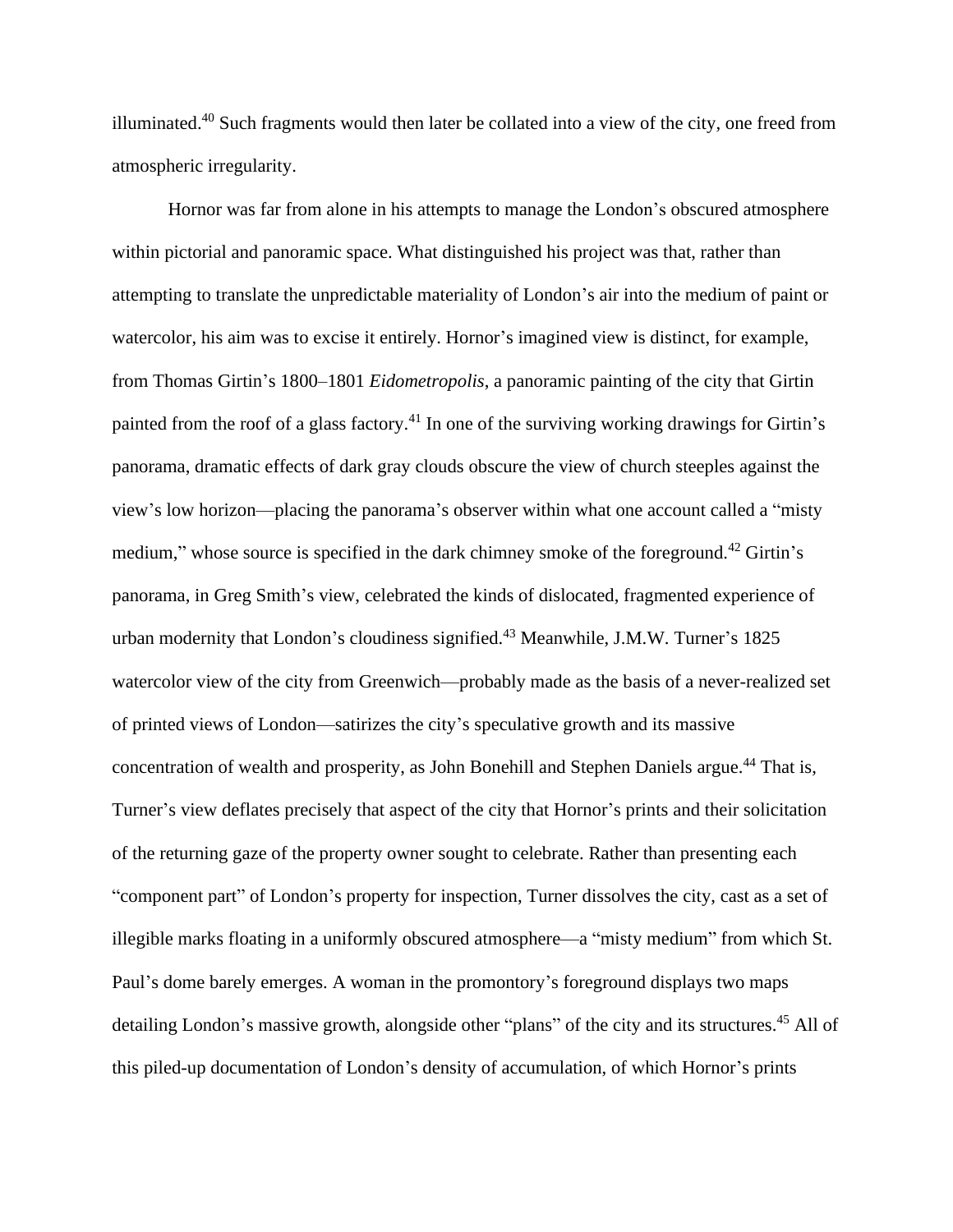illuminated.<sup>40</sup> Such fragments would then later be collated into a view of the city, one freed from atmospheric irregularity.

Hornor was far from alone in his attempts to manage the London's obscured atmosphere within pictorial and panoramic space. What distinguished his project was that, rather than attempting to translate the unpredictable materiality of London's air into the medium of paint or watercolor, his aim was to excise it entirely. Hornor's imagined view is distinct, for example, from Thomas Girtin's 1800–1801 *Eidometropolis*, a panoramic painting of the city that Girtin painted from the roof of a glass factory.<sup>41</sup> In one of the surviving working drawings for Girtin's panorama, dramatic effects of dark gray clouds obscure the view of church steeples against the view's low horizon—placing the panorama's observer within what one account called a "misty medium," whose source is specified in the dark chimney smoke of the foreground.<sup>42</sup> Girtin's panorama, in Greg Smith's view, celebrated the kinds of dislocated, fragmented experience of urban modernity that London's cloudiness signified.<sup>43</sup> Meanwhile, J.M.W. Turner's 1825 watercolor view of the city from Greenwich—probably made as the basis of a never-realized set of printed views of London—satirizes the city's speculative growth and its massive concentration of wealth and prosperity, as John Bonehill and Stephen Daniels argue. <sup>44</sup> That is, Turner's view deflates precisely that aspect of the city that Hornor's prints and their solicitation of the returning gaze of the property owner sought to celebrate. Rather than presenting each "component part" of London's property for inspection, Turner dissolves the city, cast as a set of illegible marks floating in a uniformly obscured atmosphere—a "misty medium" from which St. Paul's dome barely emerges. A woman in the promontory's foreground displays two maps detailing London's massive growth, alongside other "plans" of the city and its structures.<sup>45</sup> All of this piled-up documentation of London's density of accumulation, of which Hornor's prints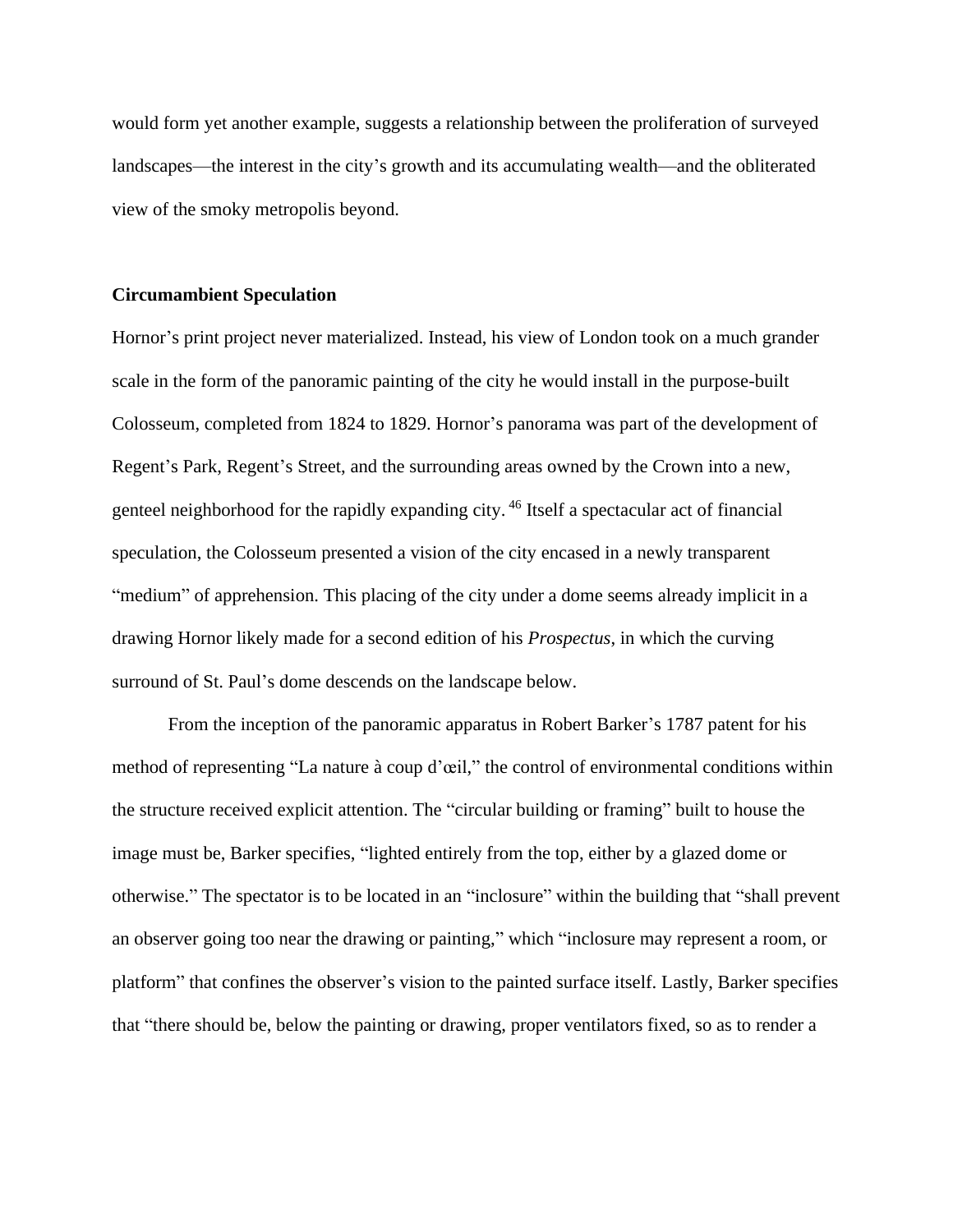would form yet another example, suggests a relationship between the proliferation of surveyed landscapes—the interest in the city's growth and its accumulating wealth—and the obliterated view of the smoky metropolis beyond.

#### **Circumambient Speculation**

Hornor's print project never materialized. Instead, his view of London took on a much grander scale in the form of the panoramic painting of the city he would install in the purpose-built Colosseum, completed from 1824 to 1829. Hornor's panorama was part of the development of Regent's Park, Regent's Street, and the surrounding areas owned by the Crown into a new, genteel neighborhood for the rapidly expanding city. <sup>46</sup> Itself a spectacular act of financial speculation, the Colosseum presented a vision of the city encased in a newly transparent "medium" of apprehension. This placing of the city under a dome seems already implicit in a drawing Hornor likely made for a second edition of his *Prospectus*, in which the curving surround of St. Paul's dome descends on the landscape below.

From the inception of the panoramic apparatus in Robert Barker's 1787 patent for his method of representing "La nature à coup d'œil," the control of environmental conditions within the structure received explicit attention. The "circular building or framing" built to house the image must be, Barker specifies, "lighted entirely from the top, either by a glazed dome or otherwise." The spectator is to be located in an "inclosure" within the building that "shall prevent an observer going too near the drawing or painting," which "inclosure may represent a room, or platform" that confines the observer's vision to the painted surface itself. Lastly, Barker specifies that "there should be, below the painting or drawing, proper ventilators fixed, so as to render a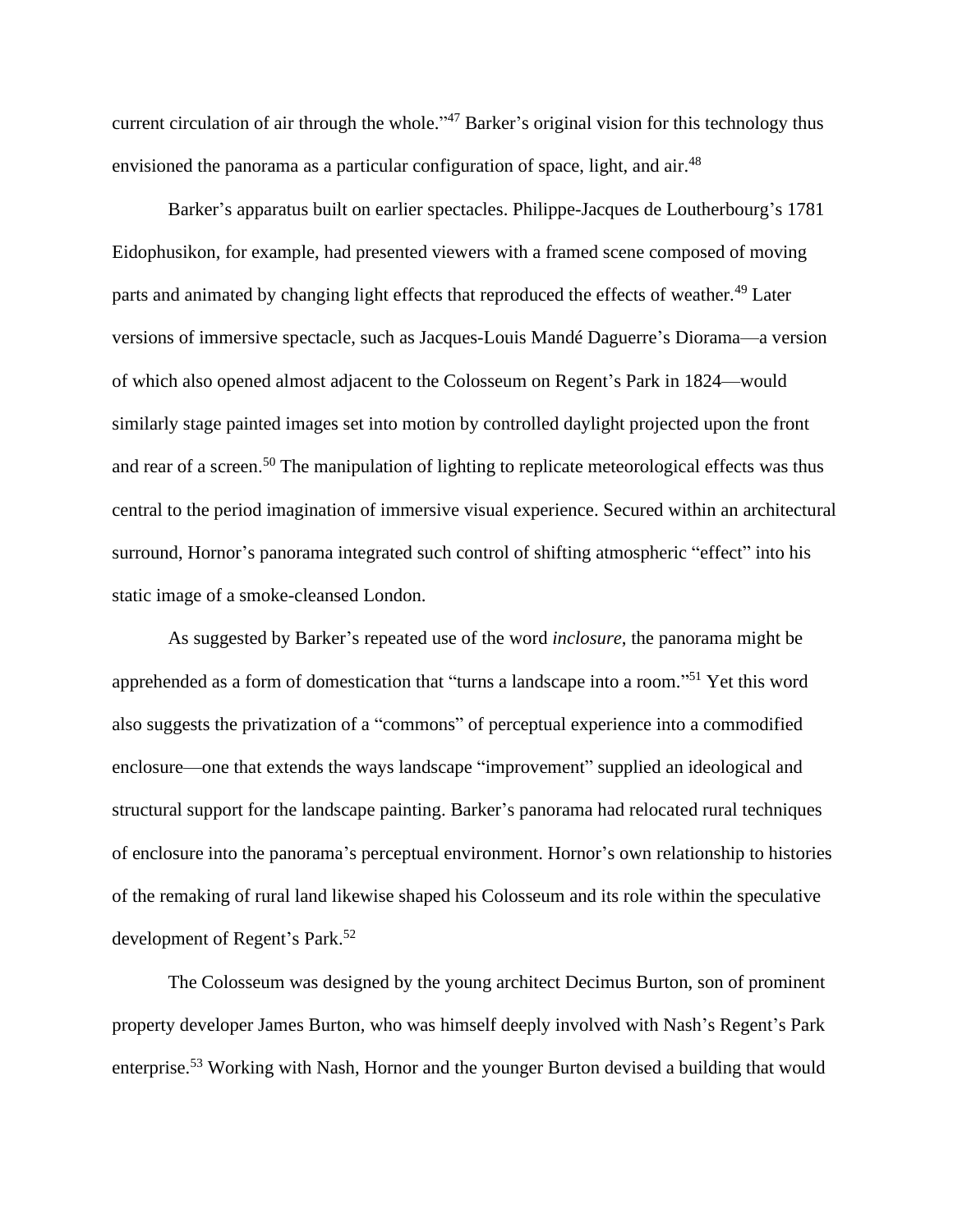current circulation of air through the whole."<sup>47</sup> Barker's original vision for this technology thus envisioned the panorama as a particular configuration of space, light, and air.<sup>48</sup>

Barker's apparatus built on earlier spectacles. Philippe-Jacques de Loutherbourg's 1781 Eidophusikon, for example, had presented viewers with a framed scene composed of moving parts and animated by changing light effects that reproduced the effects of weather.<sup>49</sup> Later versions of immersive spectacle, such as Jacques-Louis Mandé Daguerre's Diorama—a version of which also opened almost adjacent to the Colosseum on Regent's Park in 1824—would similarly stage painted images set into motion by controlled daylight projected upon the front and rear of a screen.<sup>50</sup> The manipulation of lighting to replicate meteorological effects was thus central to the period imagination of immersive visual experience. Secured within an architectural surround, Hornor's panorama integrated such control of shifting atmospheric "effect" into his static image of a smoke-cleansed London.

As suggested by Barker's repeated use of the word *inclosure*, the panorama might be apprehended as a form of domestication that "turns a landscape into a room."<sup>51</sup> Yet this word also suggests the privatization of a "commons" of perceptual experience into a commodified enclosure—one that extends the ways landscape "improvement" supplied an ideological and structural support for the landscape painting. Barker's panorama had relocated rural techniques of enclosure into the panorama's perceptual environment. Hornor's own relationship to histories of the remaking of rural land likewise shaped his Colosseum and its role within the speculative development of Regent's Park.<sup>52</sup>

The Colosseum was designed by the young architect Decimus Burton, son of prominent property developer James Burton, who was himself deeply involved with Nash's Regent's Park enterprise.<sup>53</sup> Working with Nash, Hornor and the younger Burton devised a building that would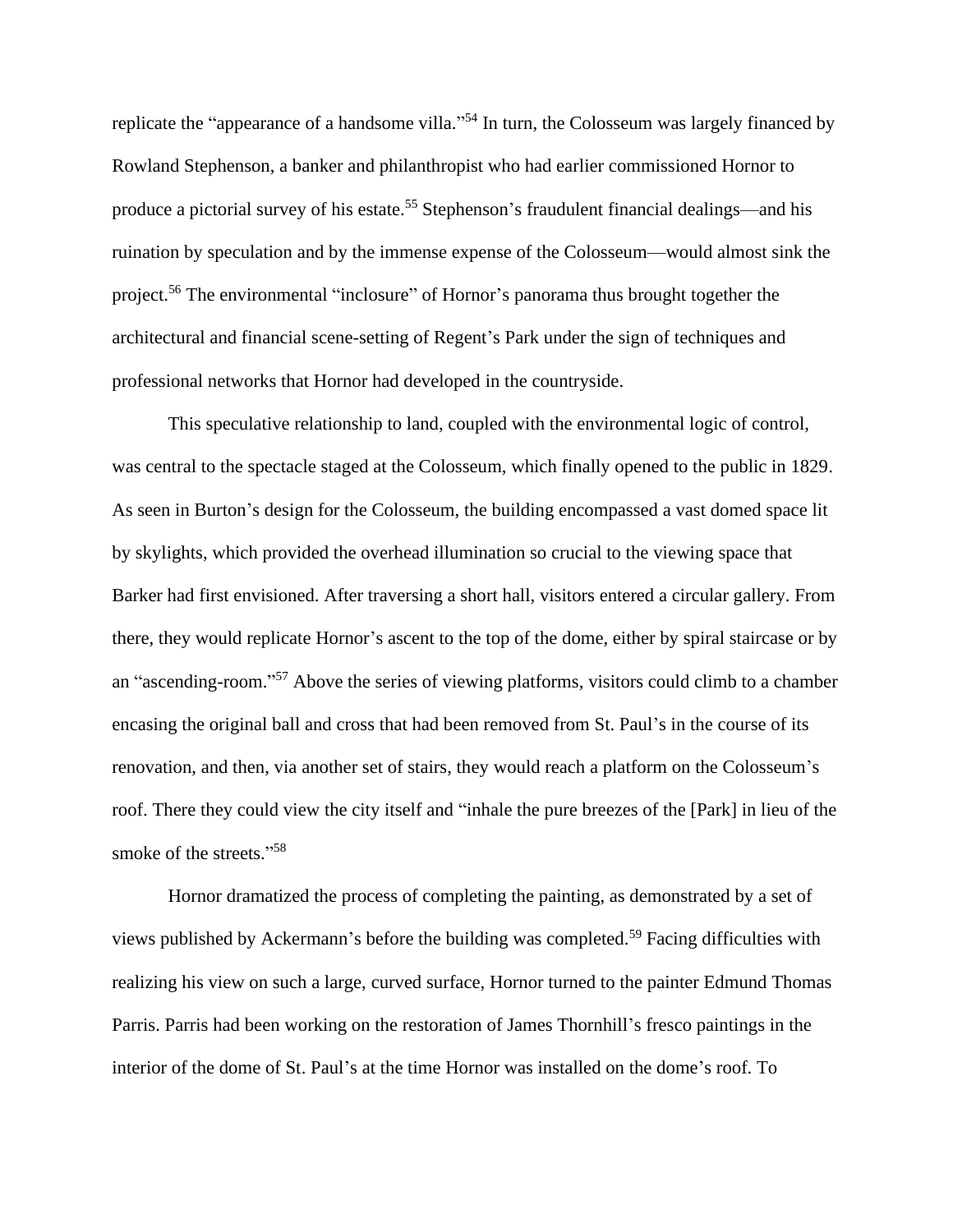replicate the "appearance of a handsome villa."<sup>54</sup> In turn, the Colosseum was largely financed by Rowland Stephenson, a banker and philanthropist who had earlier commissioned Hornor to produce a pictorial survey of his estate.<sup>55</sup> Stephenson's fraudulent financial dealings—and his ruination by speculation and by the immense expense of the Colosseum—would almost sink the project.<sup>56</sup> The environmental "inclosure" of Hornor's panorama thus brought together the architectural and financial scene-setting of Regent's Park under the sign of techniques and professional networks that Hornor had developed in the countryside.

This speculative relationship to land, coupled with the environmental logic of control, was central to the spectacle staged at the Colosseum, which finally opened to the public in 1829. As seen in Burton's design for the Colosseum, the building encompassed a vast domed space lit by skylights, which provided the overhead illumination so crucial to the viewing space that Barker had first envisioned. After traversing a short hall, visitors entered a circular gallery. From there, they would replicate Hornor's ascent to the top of the dome, either by spiral staircase or by an "ascending-room."<sup>57</sup> Above the series of viewing platforms, visitors could climb to a chamber encasing the original ball and cross that had been removed from St. Paul's in the course of its renovation, and then, via another set of stairs, they would reach a platform on the Colosseum's roof. There they could view the city itself and "inhale the pure breezes of the [Park] in lieu of the smoke of the streets."<sup>58</sup>

Hornor dramatized the process of completing the painting, as demonstrated by a set of views published by Ackermann's before the building was completed.<sup>59</sup> Facing difficulties with realizing his view on such a large, curved surface, Hornor turned to the painter Edmund Thomas Parris. Parris had been working on the restoration of James Thornhill's fresco paintings in the interior of the dome of St. Paul's at the time Hornor was installed on the dome's roof. To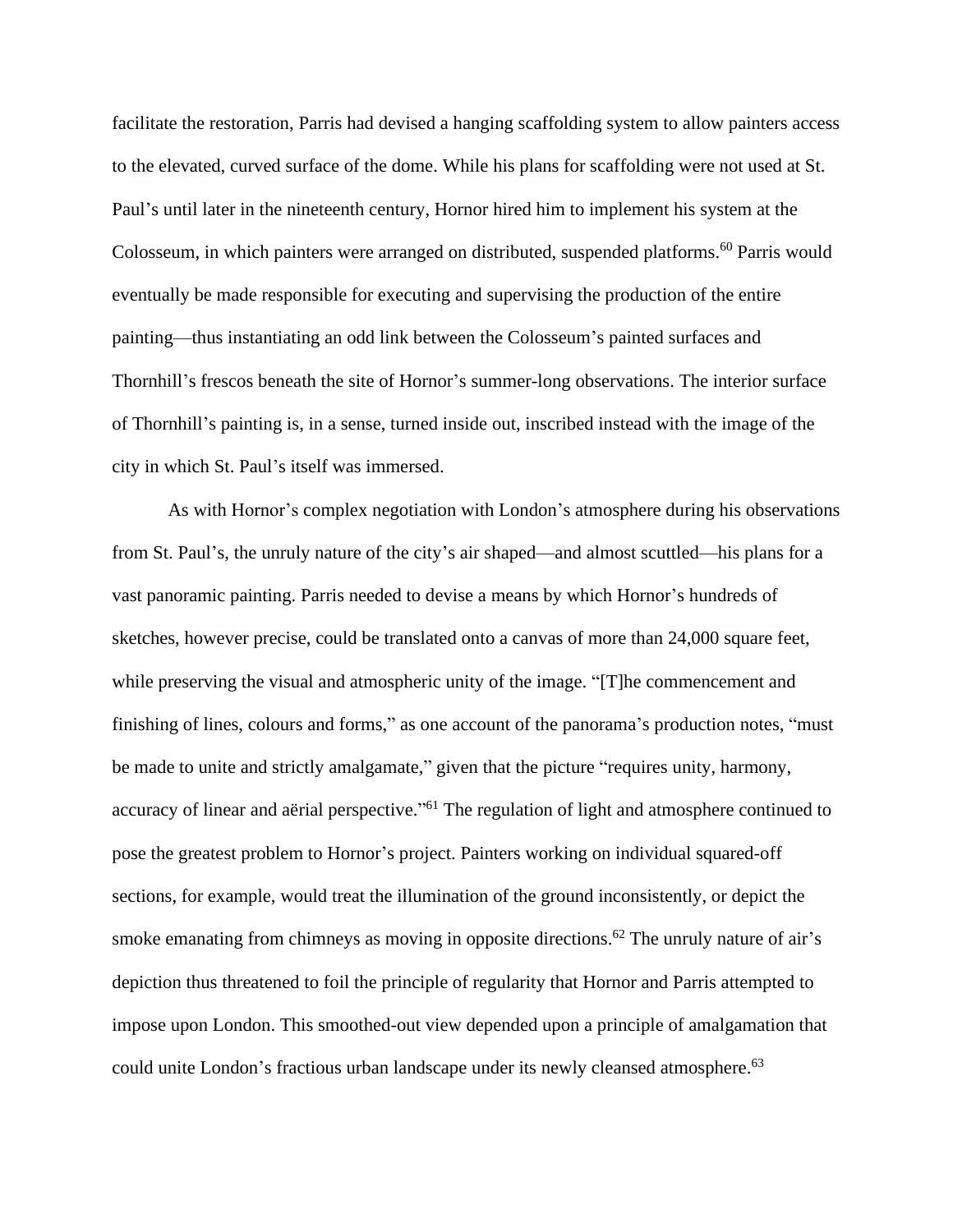facilitate the restoration, Parris had devised a hanging scaffolding system to allow painters access to the elevated, curved surface of the dome. While his plans for scaffolding were not used at St. Paul's until later in the nineteenth century, Hornor hired him to implement his system at the Colosseum, in which painters were arranged on distributed, suspended platforms.<sup>60</sup> Parris would eventually be made responsible for executing and supervising the production of the entire painting—thus instantiating an odd link between the Colosseum's painted surfaces and Thornhill's frescos beneath the site of Hornor's summer-long observations. The interior surface of Thornhill's painting is, in a sense, turned inside out, inscribed instead with the image of the city in which St. Paul's itself was immersed.

As with Hornor's complex negotiation with London's atmosphere during his observations from St. Paul's, the unruly nature of the city's air shaped—and almost scuttled—his plans for a vast panoramic painting. Parris needed to devise a means by which Hornor's hundreds of sketches, however precise, could be translated onto a canvas of more than 24,000 square feet, while preserving the visual and atmospheric unity of the image. "[T]he commencement and finishing of lines, colours and forms," as one account of the panorama's production notes, "must be made to unite and strictly amalgamate," given that the picture "requires unity, harmony, accuracy of linear and aërial perspective."<sup>61</sup> The regulation of light and atmosphere continued to pose the greatest problem to Hornor's project. Painters working on individual squared-off sections, for example, would treat the illumination of the ground inconsistently, or depict the smoke emanating from chimneys as moving in opposite directions.<sup>62</sup> The unruly nature of air's depiction thus threatened to foil the principle of regularity that Hornor and Parris attempted to impose upon London. This smoothed-out view depended upon a principle of amalgamation that could unite London's fractious urban landscape under its newly cleansed atmosphere. 63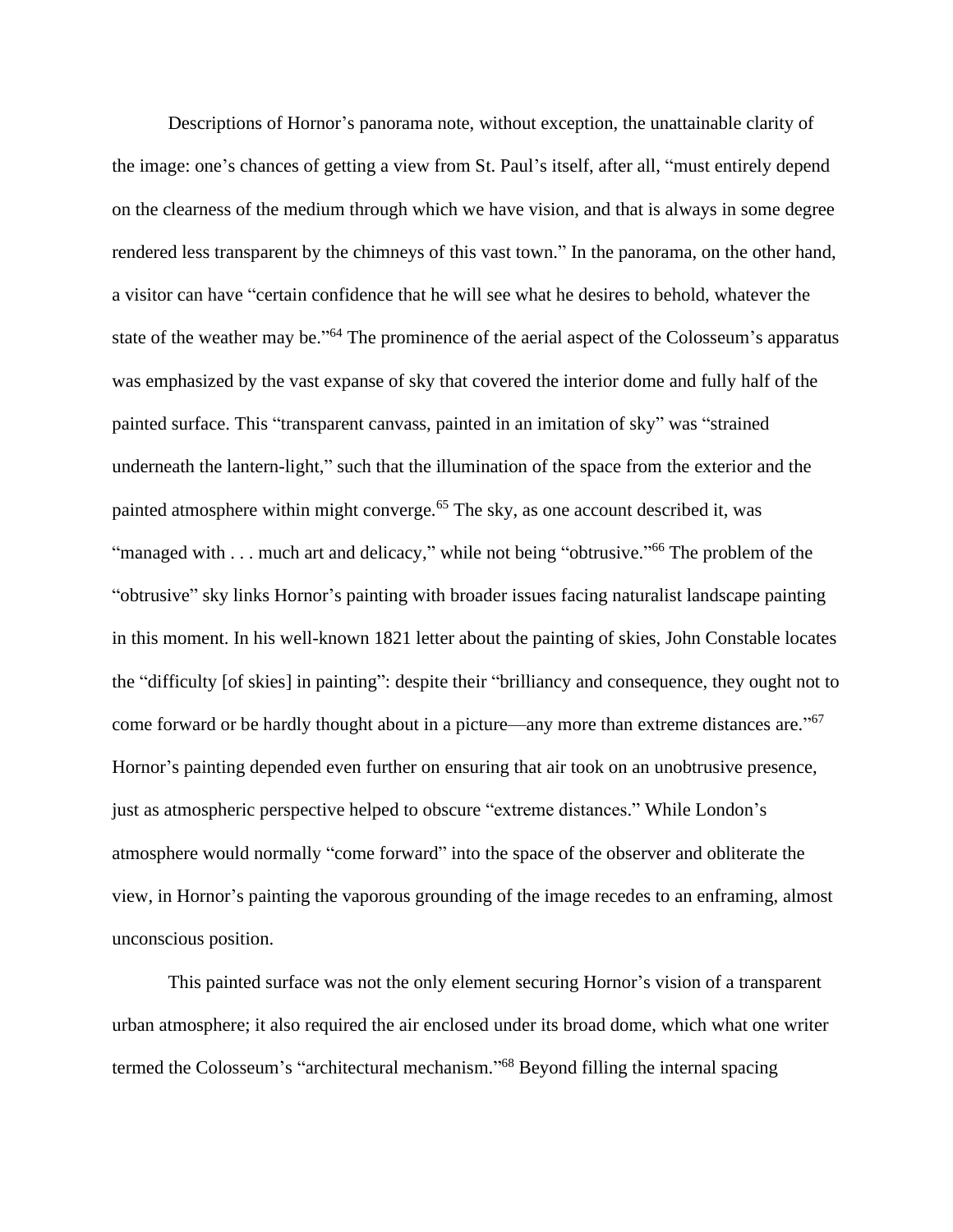Descriptions of Hornor's panorama note, without exception, the unattainable clarity of the image: one's chances of getting a view from St. Paul's itself, after all, "must entirely depend on the clearness of the medium through which we have vision, and that is always in some degree rendered less transparent by the chimneys of this vast town." In the panorama, on the other hand, a visitor can have "certain confidence that he will see what he desires to behold, whatever the state of the weather may be."<sup>64</sup> The prominence of the aerial aspect of the Colosseum's apparatus was emphasized by the vast expanse of sky that covered the interior dome and fully half of the painted surface. This "transparent canvass, painted in an imitation of sky" was "strained underneath the lantern-light," such that the illumination of the space from the exterior and the painted atmosphere within might converge.<sup>65</sup> The sky, as one account described it, was "managed with . . . much art and delicacy," while not being "obtrusive."<sup>66</sup> The problem of the "obtrusive" sky links Hornor's painting with broader issues facing naturalist landscape painting in this moment. In his well-known 1821 letter about the painting of skies, John Constable locates the "difficulty [of skies] in painting": despite their "brilliancy and consequence, they ought not to come forward or be hardly thought about in a picture—any more than extreme distances are."<sup>67</sup> Hornor's painting depended even further on ensuring that air took on an unobtrusive presence, just as atmospheric perspective helped to obscure "extreme distances." While London's atmosphere would normally "come forward" into the space of the observer and obliterate the view, in Hornor's painting the vaporous grounding of the image recedes to an enframing, almost unconscious position.

This painted surface was not the only element securing Hornor's vision of a transparent urban atmosphere; it also required the air enclosed under its broad dome, which what one writer termed the Colosseum's "architectural mechanism." <sup>68</sup> Beyond filling the internal spacing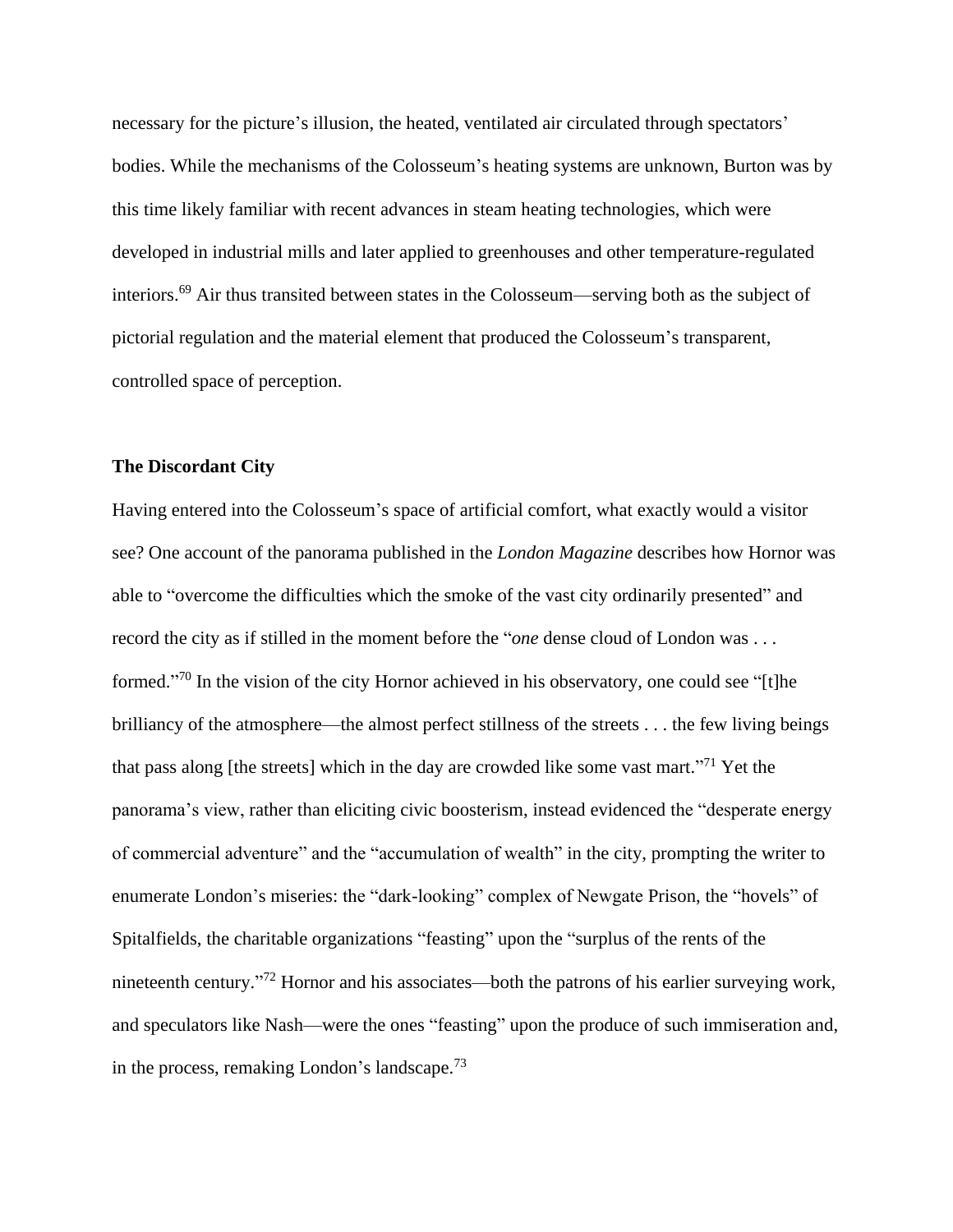necessary for the picture's illusion, the heated, ventilated air circulated through spectators' bodies. While the mechanisms of the Colosseum's heating systems are unknown, Burton was by this time likely familiar with recent advances in steam heating technologies, which were developed in industrial mills and later applied to greenhouses and other temperature-regulated interiors. <sup>69</sup> Air thus transited between states in the Colosseum—serving both as the subject of pictorial regulation and the material element that produced the Colosseum's transparent, controlled space of perception.

## **The Discordant City**

Having entered into the Colosseum's space of artificial comfort, what exactly would a visitor see? One account of the panorama published in the *London Magazine* describes how Hornor was able to "overcome the difficulties which the smoke of the vast city ordinarily presented" and record the city as if stilled in the moment before the "*one* dense cloud of London was . . . formed."<sup>70</sup> In the vision of the city Hornor achieved in his observatory, one could see "[t]he brilliancy of the atmosphere—the almost perfect stillness of the streets . . . the few living beings that pass along [the streets] which in the day are crowded like some vast mart."<sup>71</sup> Yet the panorama's view, rather than eliciting civic boosterism, instead evidenced the "desperate energy of commercial adventure" and the "accumulation of wealth" in the city, prompting the writer to enumerate London's miseries: the "dark-looking" complex of Newgate Prison, the "hovels" of Spitalfields, the charitable organizations "feasting" upon the "surplus of the rents of the nineteenth century."<sup>72</sup> Hornor and his associates—both the patrons of his earlier surveying work, and speculators like Nash—were the ones "feasting" upon the produce of such immiseration and, in the process, remaking London's landscape.<sup>73</sup>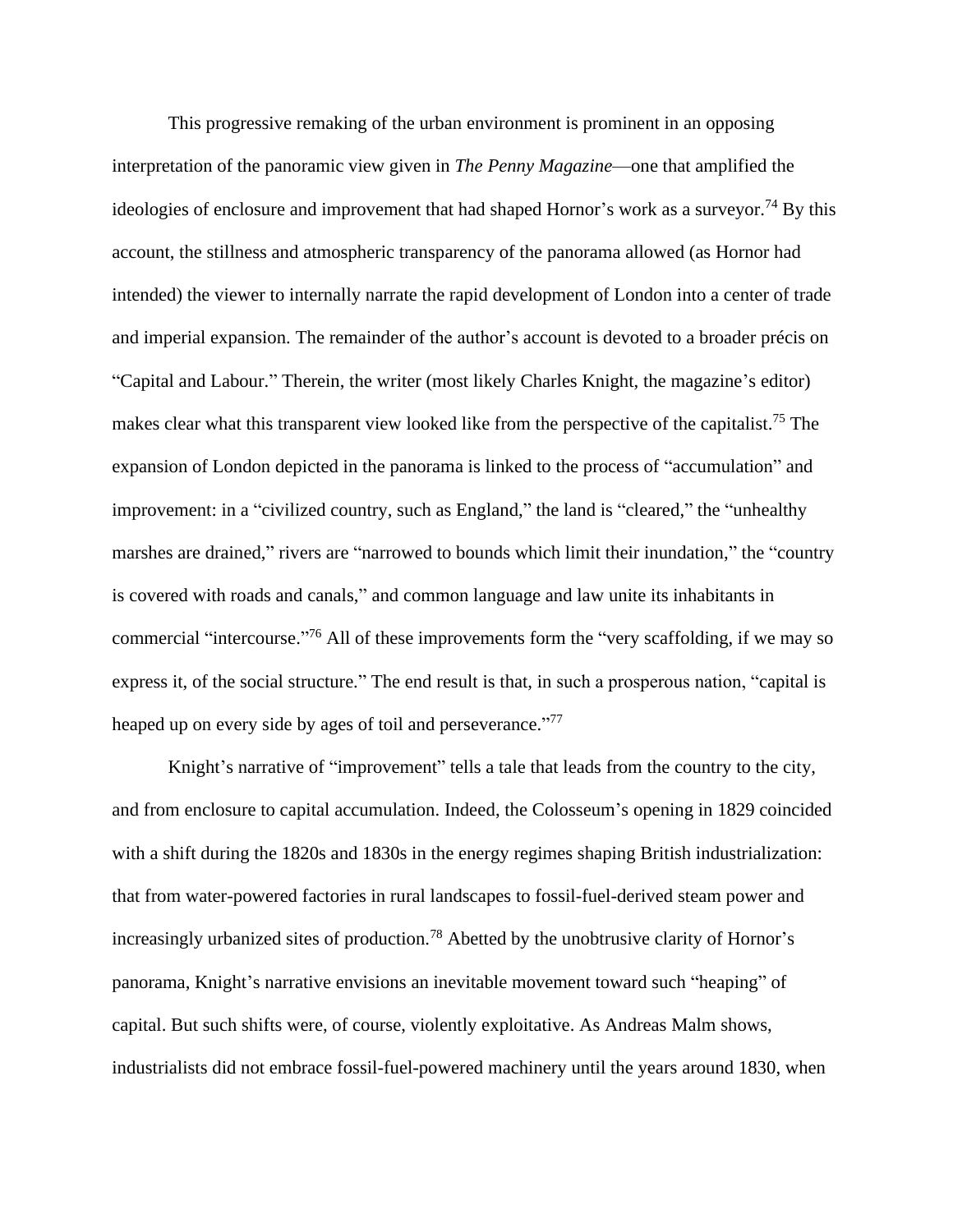This progressive remaking of the urban environment is prominent in an opposing interpretation of the panoramic view given in *The Penny Magazine*—one that amplified the ideologies of enclosure and improvement that had shaped Hornor's work as a surveyor.<sup>74</sup> By this account, the stillness and atmospheric transparency of the panorama allowed (as Hornor had intended) the viewer to internally narrate the rapid development of London into a center of trade and imperial expansion. The remainder of the author's account is devoted to a broader précis on "Capital and Labour." Therein, the writer (most likely Charles Knight, the magazine's editor) makes clear what this transparent view looked like from the perspective of the capitalist.<sup>75</sup> The expansion of London depicted in the panorama is linked to the process of "accumulation" and improvement: in a "civilized country, such as England," the land is "cleared," the "unhealthy marshes are drained," rivers are "narrowed to bounds which limit their inundation," the "country is covered with roads and canals," and common language and law unite its inhabitants in commercial "intercourse."<sup>76</sup> All of these improvements form the "very scaffolding, if we may so express it, of the social structure." The end result is that, in such a prosperous nation, "capital is heaped up on every side by ages of toil and perseverance."<sup>77</sup>

Knight's narrative of "improvement" tells a tale that leads from the country to the city, and from enclosure to capital accumulation. Indeed, the Colosseum's opening in 1829 coincided with a shift during the 1820s and 1830s in the energy regimes shaping British industrialization: that from water-powered factories in rural landscapes to fossil-fuel-derived steam power and increasingly urbanized sites of production.<sup>78</sup> Abetted by the unobtrusive clarity of Hornor's panorama, Knight's narrative envisions an inevitable movement toward such "heaping" of capital. But such shifts were, of course, violently exploitative. As Andreas Malm shows, industrialists did not embrace fossil-fuel-powered machinery until the years around 1830, when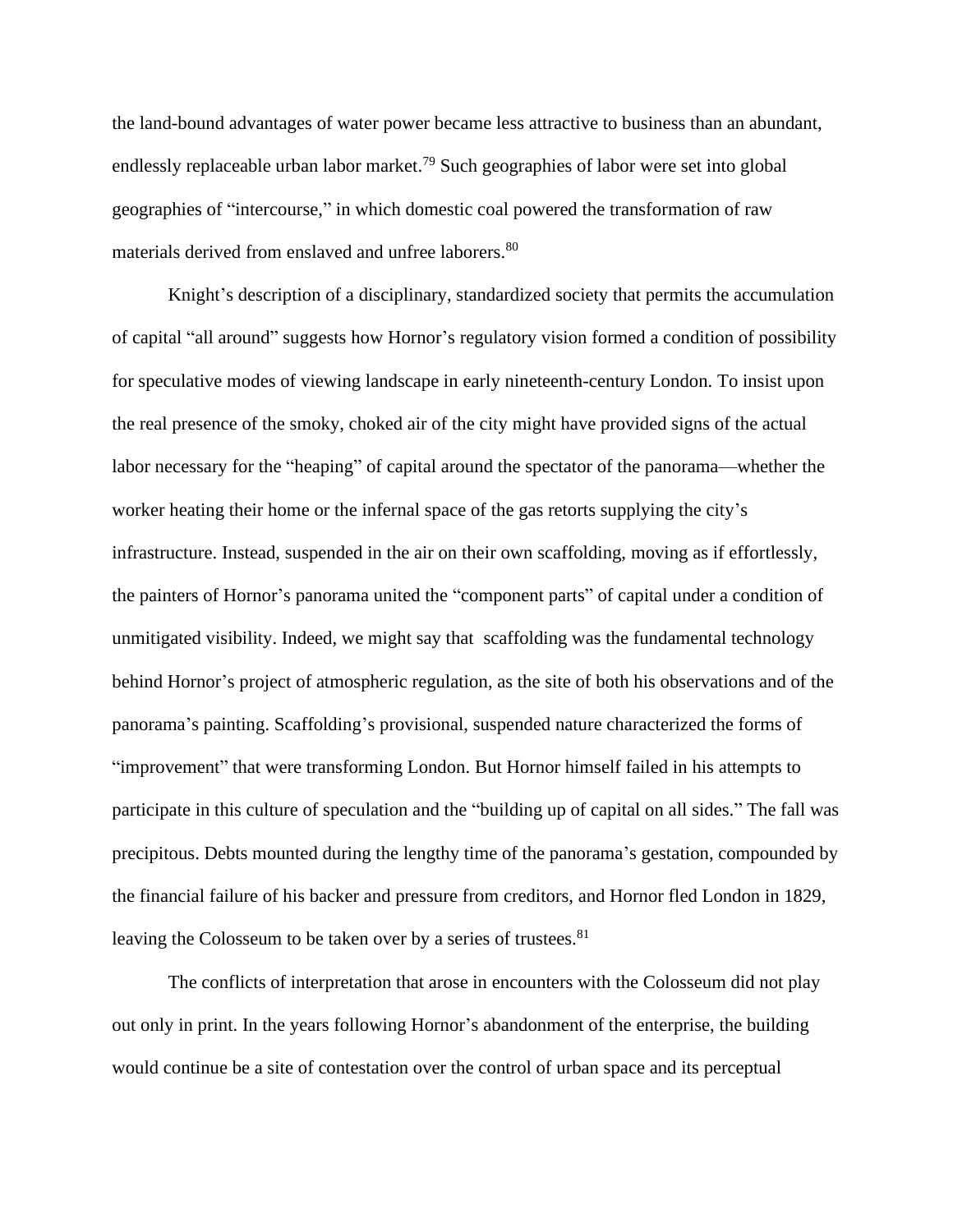the land-bound advantages of water power became less attractive to business than an abundant, endlessly replaceable urban labor market.<sup>79</sup> Such geographies of labor were set into global geographies of "intercourse," in which domestic coal powered the transformation of raw materials derived from enslaved and unfree laborers.<sup>80</sup>

Knight's description of a disciplinary, standardized society that permits the accumulation of capital "all around" suggests how Hornor's regulatory vision formed a condition of possibility for speculative modes of viewing landscape in early nineteenth-century London. To insist upon the real presence of the smoky, choked air of the city might have provided signs of the actual labor necessary for the "heaping" of capital around the spectator of the panorama—whether the worker heating their home or the infernal space of the gas retorts supplying the city's infrastructure. Instead, suspended in the air on their own scaffolding, moving as if effortlessly, the painters of Hornor's panorama united the "component parts" of capital under a condition of unmitigated visibility. Indeed, we might say that scaffolding was the fundamental technology behind Hornor's project of atmospheric regulation, as the site of both his observations and of the panorama's painting. Scaffolding's provisional, suspended nature characterized the forms of "improvement" that were transforming London. But Hornor himself failed in his attempts to participate in this culture of speculation and the "building up of capital on all sides." The fall was precipitous. Debts mounted during the lengthy time of the panorama's gestation, compounded by the financial failure of his backer and pressure from creditors, and Hornor fled London in 1829, leaving the Colosseum to be taken over by a series of trustees.<sup>81</sup>

The conflicts of interpretation that arose in encounters with the Colosseum did not play out only in print. In the years following Hornor's abandonment of the enterprise, the building would continue be a site of contestation over the control of urban space and its perceptual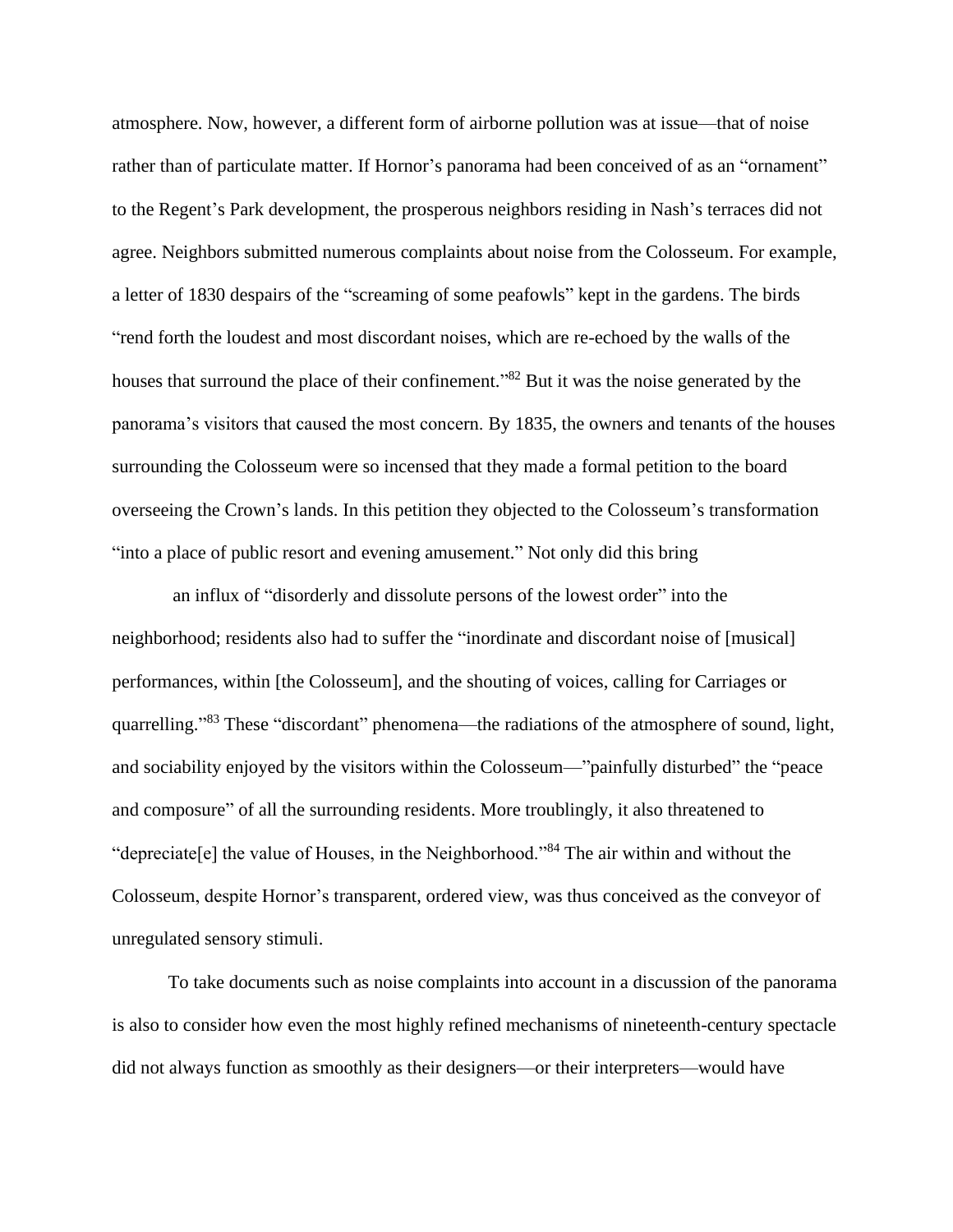atmosphere. Now, however, a different form of airborne pollution was at issue—that of noise rather than of particulate matter. If Hornor's panorama had been conceived of as an "ornament" to the Regent's Park development, the prosperous neighbors residing in Nash's terraces did not agree. Neighbors submitted numerous complaints about noise from the Colosseum. For example, a letter of 1830 despairs of the "screaming of some peafowls" kept in the gardens. The birds "rend forth the loudest and most discordant noises, which are re-echoed by the walls of the houses that surround the place of their confinement."<sup>82</sup> But it was the noise generated by the panorama's visitors that caused the most concern. By 1835, the owners and tenants of the houses surrounding the Colosseum were so incensed that they made a formal petition to the board overseeing the Crown's lands. In this petition they objected to the Colosseum's transformation "into a place of public resort and evening amusement." Not only did this bring

an influx of "disorderly and dissolute persons of the lowest order" into the neighborhood; residents also had to suffer the "inordinate and discordant noise of [musical] performances, within [the Colosseum], and the shouting of voices, calling for Carriages or quarrelling."<sup>83</sup> These "discordant" phenomena—the radiations of the atmosphere of sound, light, and sociability enjoyed by the visitors within the Colosseum—"painfully disturbed" the "peace and composure" of all the surrounding residents. More troublingly, it also threatened to "depreciate[e] the value of Houses, in the Neighborhood."<sup>84</sup> The air within and without the Colosseum, despite Hornor's transparent, ordered view, was thus conceived as the conveyor of unregulated sensory stimuli.

To take documents such as noise complaints into account in a discussion of the panorama is also to consider how even the most highly refined mechanisms of nineteenth-century spectacle did not always function as smoothly as their designers—or their interpreters—would have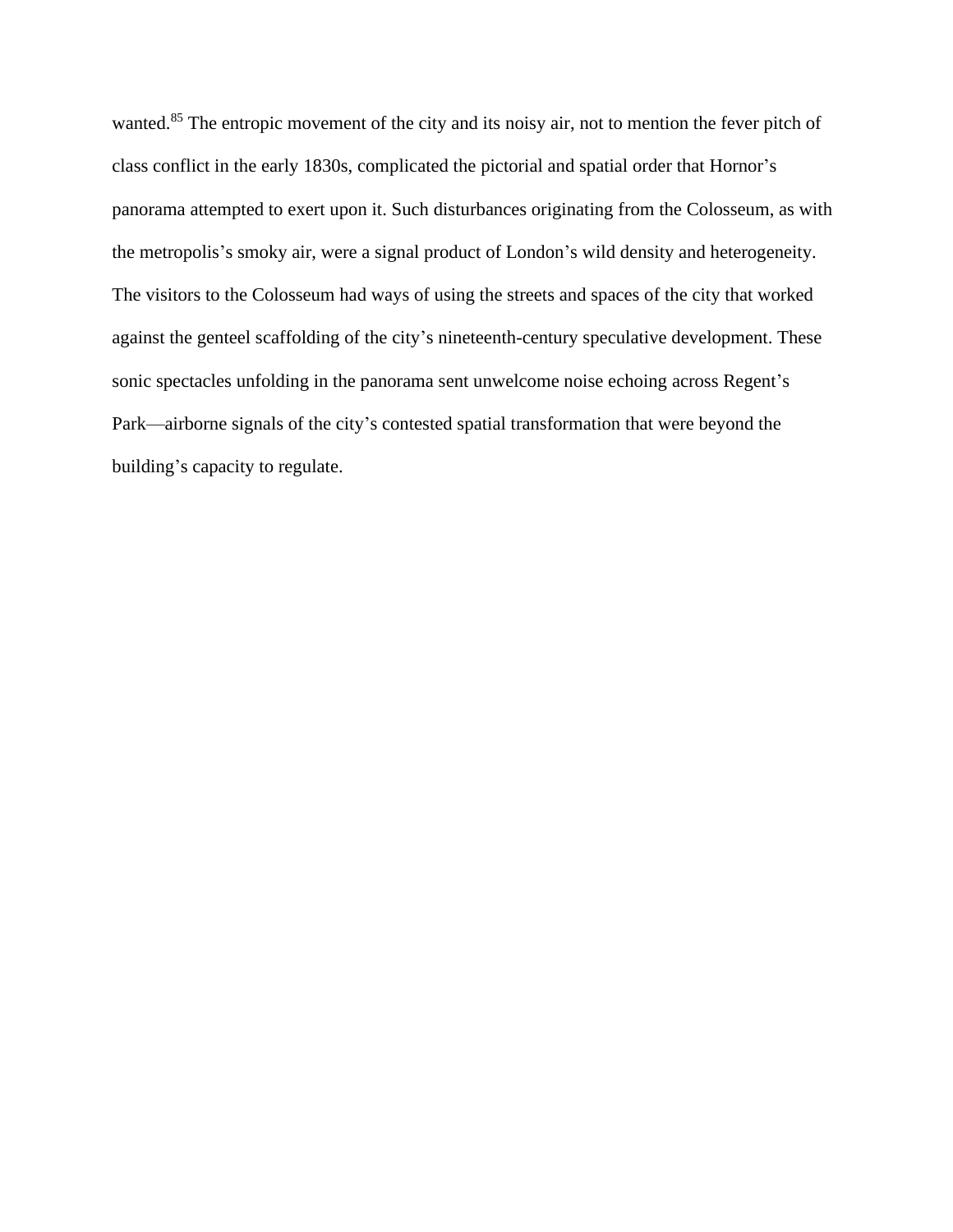wanted.<sup>85</sup> The entropic movement of the city and its noisy air, not to mention the fever pitch of class conflict in the early 1830s, complicated the pictorial and spatial order that Hornor's panorama attempted to exert upon it. Such disturbances originating from the Colosseum, as with the metropolis's smoky air, were a signal product of London's wild density and heterogeneity. The visitors to the Colosseum had ways of using the streets and spaces of the city that worked against the genteel scaffolding of the city's nineteenth-century speculative development. These sonic spectacles unfolding in the panorama sent unwelcome noise echoing across Regent's Park—airborne signals of the city's contested spatial transformation that were beyond the building's capacity to regulate.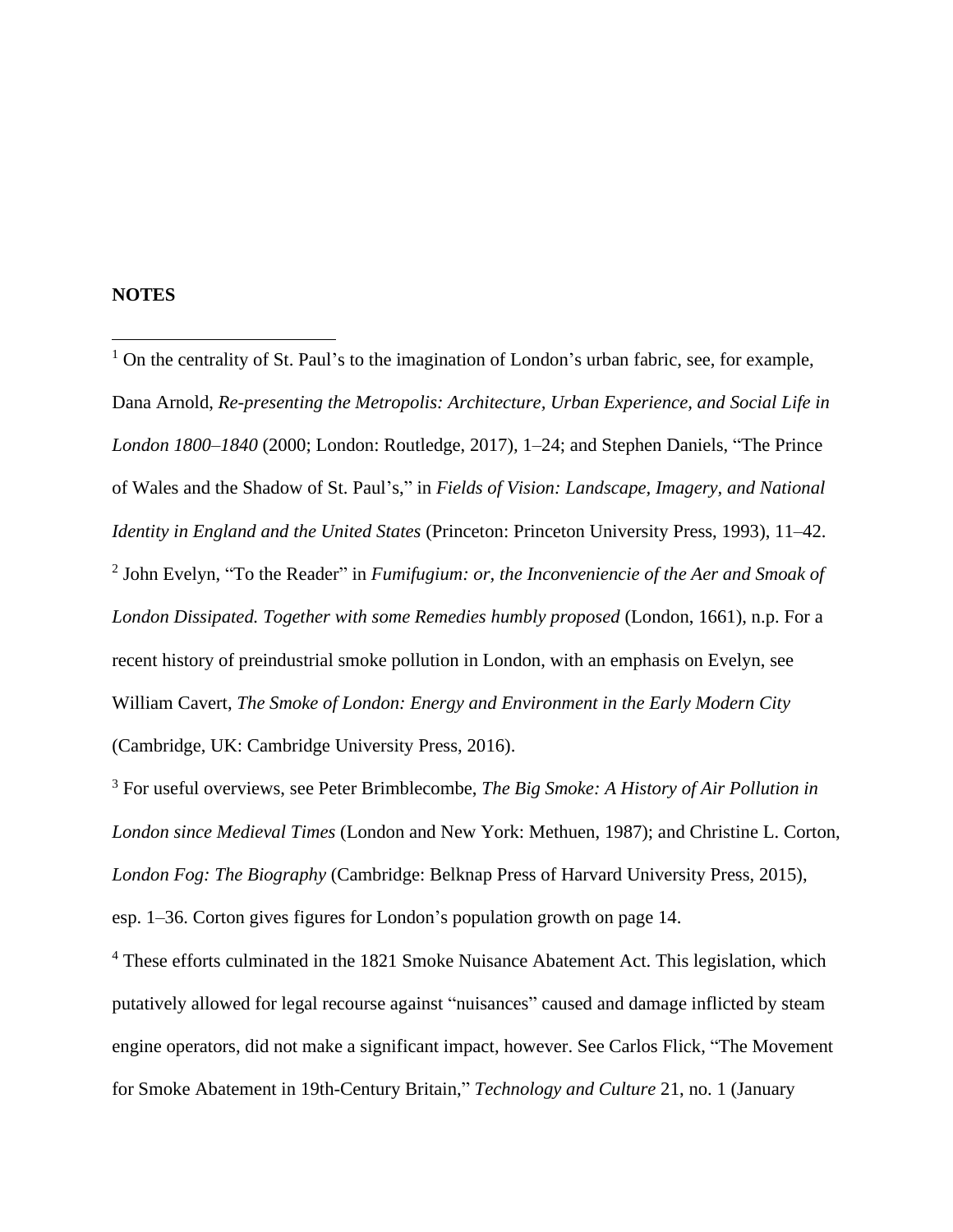# **NOTES**

 $<sup>1</sup>$  On the centrality of St. Paul's to the imagination of London's urban fabric, see, for example,</sup> Dana Arnold, *Re-presenting the Metropolis: Architecture, Urban Experience, and Social Life in London 1800–1840* (2000; London: Routledge, 2017)*,* 1–24; and Stephen Daniels, "The Prince of Wales and the Shadow of St. Paul's," in *Fields of Vision: Landscape, Imagery, and National Identity in England and the United States* (Princeton: Princeton University Press, 1993), 11–42. 2 John Evelyn, "To the Reader" in *Fumifugium: or, the Inconveniencie of the Aer and Smoak of London Dissipated. Together with some Remedies humbly proposed* (London, 1661), n.p. For a recent history of preindustrial smoke pollution in London, with an emphasis on Evelyn, see William Cavert, *The Smoke of London: Energy and Environment in the Early Modern City* (Cambridge, UK: Cambridge University Press, 2016).

<sup>3</sup> For useful overviews, see Peter Brimblecombe, *The Big Smoke: A History of Air Pollution in London since Medieval Times* (London and New York: Methuen, 1987); and Christine L. Corton, *London Fog: The Biography* (Cambridge: Belknap Press of Harvard University Press, 2015), esp. 1–36. Corton gives figures for London's population growth on page 14.

<sup>4</sup> These efforts culminated in the 1821 Smoke Nuisance Abatement Act. This legislation, which putatively allowed for legal recourse against "nuisances" caused and damage inflicted by steam engine operators, did not make a significant impact, however. See Carlos Flick, "The Movement for Smoke Abatement in 19th-Century Britain," *Technology and Culture* 21, no. 1 (January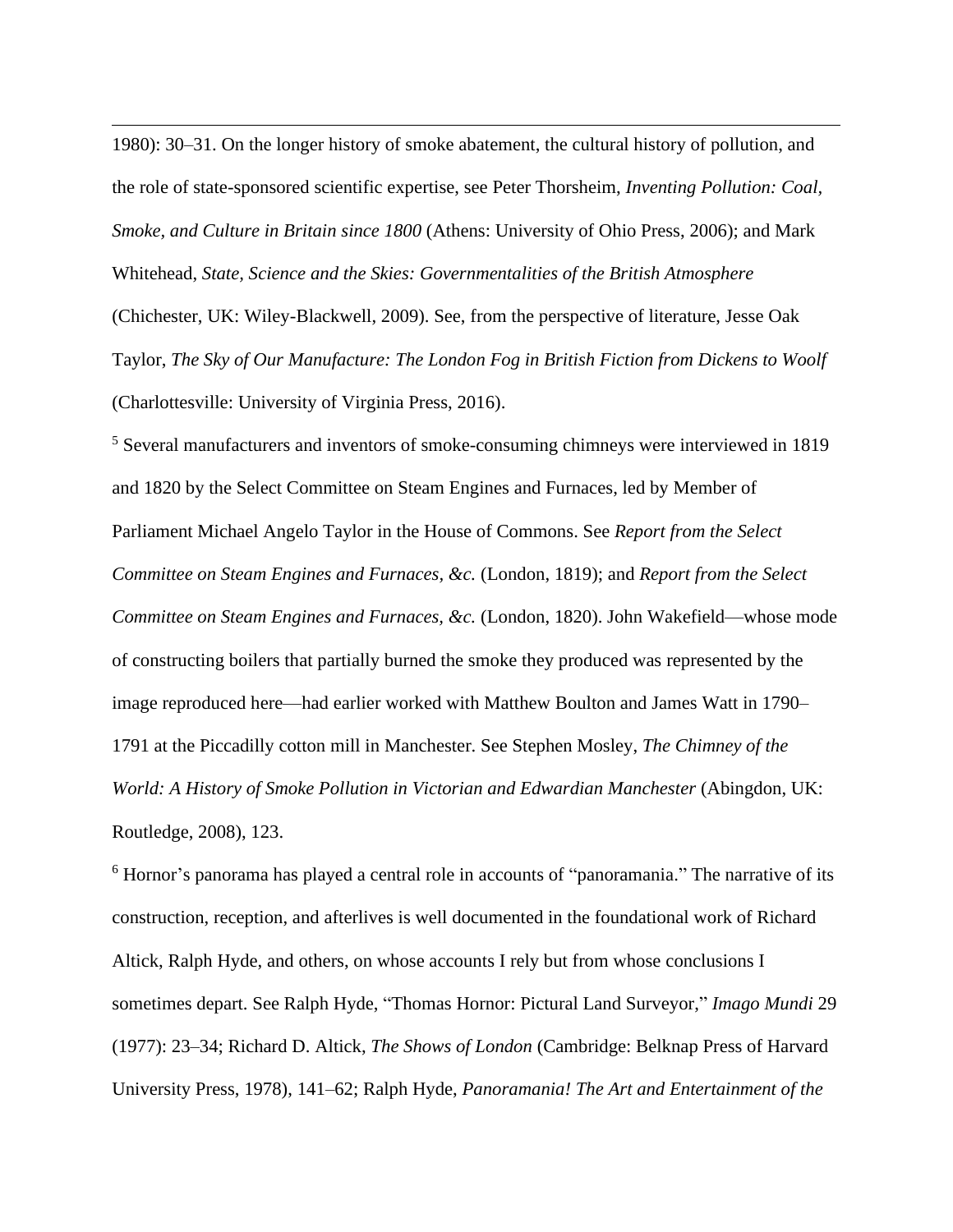1980): 30–31. On the longer history of smoke abatement, the cultural history of pollution, and the role of state-sponsored scientific expertise, see Peter Thorsheim, *Inventing Pollution: Coal, Smoke, and Culture in Britain since 1800* (Athens: University of Ohio Press, 2006); and Mark Whitehead, *State, Science and the Skies: Governmentalities of the British Atmosphere*

(Chichester, UK: Wiley-Blackwell, 2009). See, from the perspective of literature, Jesse Oak Taylor, *The Sky of Our Manufacture: The London Fog in British Fiction from Dickens to Woolf* (Charlottesville: University of Virginia Press, 2016).

<sup>5</sup> Several manufacturers and inventors of smoke-consuming chimneys were interviewed in 1819 and 1820 by the Select Committee on Steam Engines and Furnaces, led by Member of Parliament Michael Angelo Taylor in the House of Commons. See *Report from the Select Committee on Steam Engines and Furnaces, &c.* (London, 1819); and *Report from the Select Committee on Steam Engines and Furnaces, &c.* (London, 1820). John Wakefield—whose mode of constructing boilers that partially burned the smoke they produced was represented by the image reproduced here—had earlier worked with Matthew Boulton and James Watt in 1790– 1791 at the Piccadilly cotton mill in Manchester. See Stephen Mosley, *The Chimney of the World: A History of Smoke Pollution in Victorian and Edwardian Manchester (Abingdon, UK:* Routledge, 2008), 123.

<sup>6</sup> Hornor's panorama has played a central role in accounts of "panoramania." The narrative of its construction, reception, and afterlives is well documented in the foundational work of Richard Altick, Ralph Hyde, and others, on whose accounts I rely but from whose conclusions I sometimes depart. See Ralph Hyde, "Thomas Hornor: Pictural Land Surveyor," *Imago Mundi* 29 (1977): 23–34; Richard D. Altick, *The Shows of London* (Cambridge: Belknap Press of Harvard University Press, 1978), 141–62; Ralph Hyde, *Panoramania! The Art and Entertainment of the*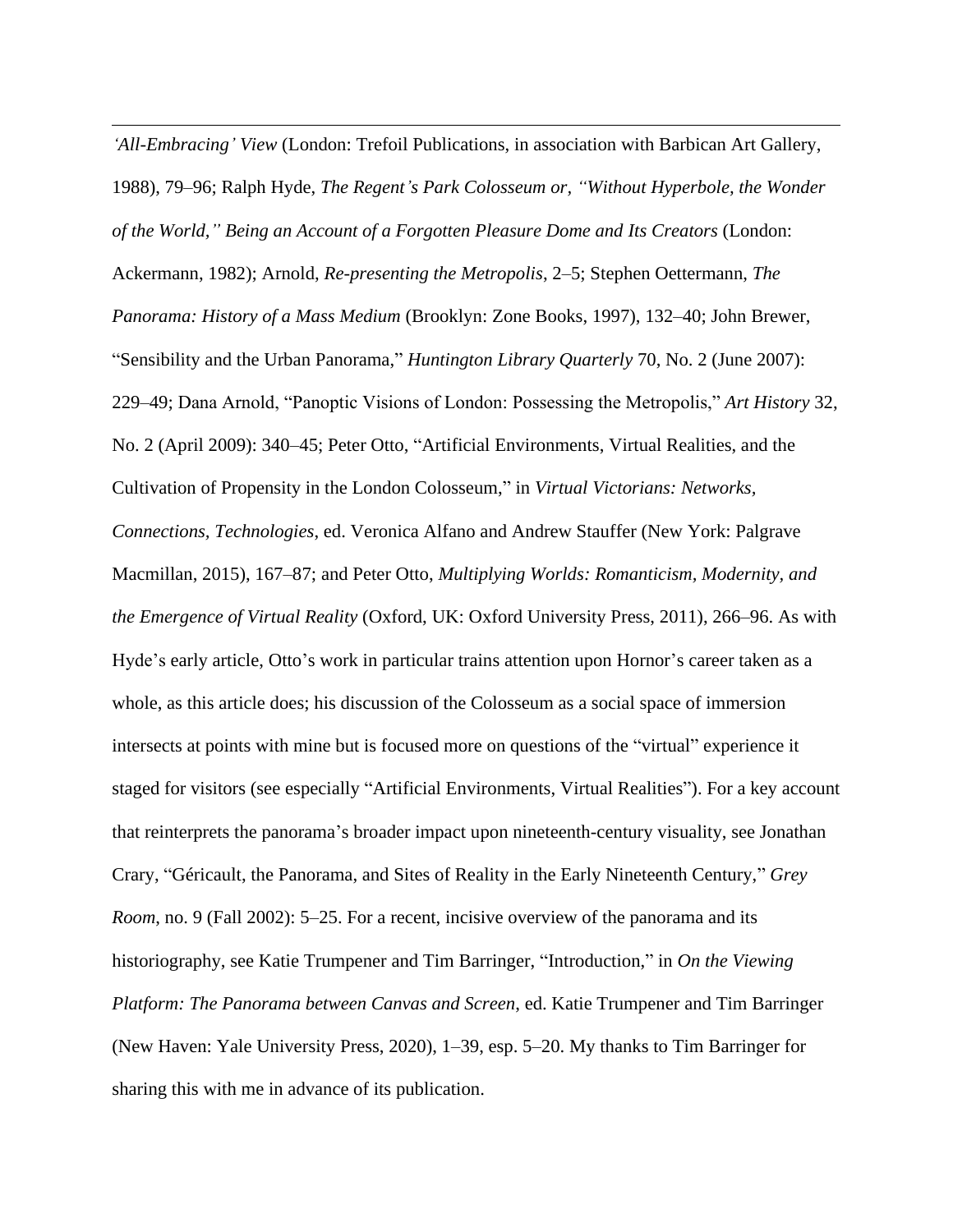*'All-Embracing' View* (London: Trefoil Publications, in association with Barbican Art Gallery, 1988), 79–96; Ralph Hyde, *The Regent's Park Colosseum or, "Without Hyperbole, the Wonder of the World," Being an Account of a Forgotten Pleasure Dome and Its Creators* (London: Ackermann, 1982); Arnold, *Re-presenting the Metropolis*, 2–5; Stephen Oettermann, *The Panorama: History of a Mass Medium* (Brooklyn: Zone Books, 1997), 132–40; John Brewer, "Sensibility and the Urban Panorama," *Huntington Library Quarterly* 70, No. 2 (June 2007): 229–49; Dana Arnold, "Panoptic Visions of London: Possessing the Metropolis," *Art History* 32, No. 2 (April 2009): 340–45; Peter Otto, "Artificial Environments, Virtual Realities, and the Cultivation of Propensity in the London Colosseum," in *Virtual Victorians: Networks, Connections, Technologies*, ed. Veronica Alfano and Andrew Stauffer (New York: Palgrave Macmillan, 2015), 167–87; and Peter Otto, *Multiplying Worlds: Romanticism, Modernity, and the Emergence of Virtual Reality* (Oxford, UK: Oxford University Press, 2011), 266–96. As with Hyde's early article, Otto's work in particular trains attention upon Hornor's career taken as a whole, as this article does; his discussion of the Colosseum as a social space of immersion intersects at points with mine but is focused more on questions of the "virtual" experience it staged for visitors (see especially "Artificial Environments, Virtual Realities"). For a key account that reinterprets the panorama's broader impact upon nineteenth-century visuality, see Jonathan Crary, "Géricault, the Panorama, and Sites of Reality in the Early Nineteenth Century," *Grey Room*, no. 9 (Fall 2002): 5–25. For a recent, incisive overview of the panorama and its historiography, see Katie Trumpener and Tim Barringer, "Introduction," in *On the Viewing Platform: The Panorama between Canvas and Screen*, ed. Katie Trumpener and Tim Barringer (New Haven: Yale University Press, 2020), 1–39, esp. 5–20. My thanks to Tim Barringer for sharing this with me in advance of its publication.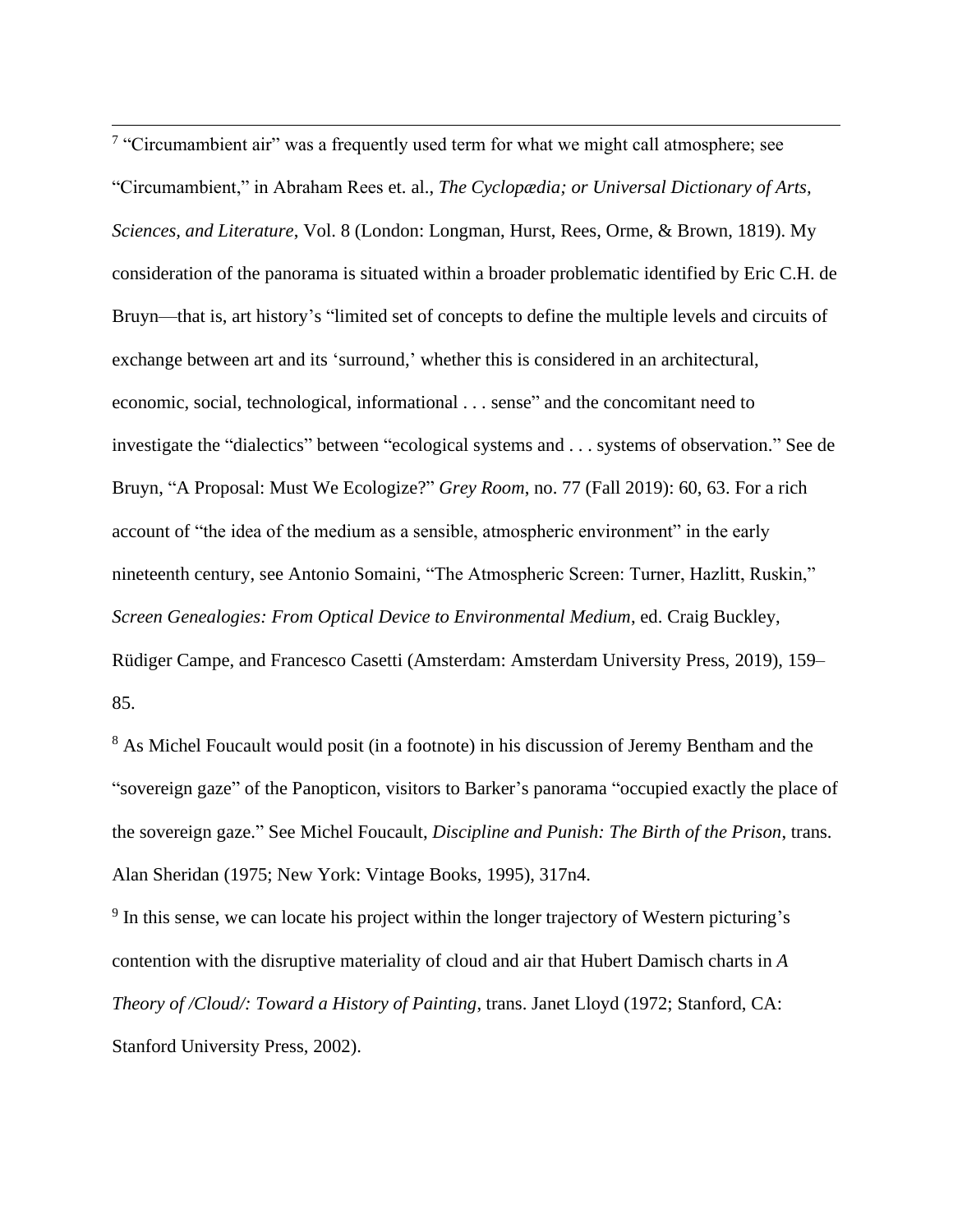$7$  "Circumambient air" was a frequently used term for what we might call atmosphere; see "Circumambient," in Abraham Rees et. al., *The Cyclopædia; or Universal Dictionary of Arts, Sciences, and Literature*, Vol. 8 (London: Longman, Hurst, Rees, Orme, & Brown, 1819). My consideration of the panorama is situated within a broader problematic identified by Eric C.H. de Bruyn—that is, art history's "limited set of concepts to define the multiple levels and circuits of exchange between art and its 'surround,' whether this is considered in an architectural, economic, social, technological, informational . . . sense" and the concomitant need to investigate the "dialectics" between "ecological systems and . . . systems of observation." See de Bruyn, "A Proposal: Must We Ecologize?" *Grey Room*, no. 77 (Fall 2019): 60, 63. For a rich account of "the idea of the medium as a sensible, atmospheric environment" in the early nineteenth century, see Antonio Somaini, "The Atmospheric Screen: Turner, Hazlitt, Ruskin," *Screen Genealogies: From Optical Device to Environmental Medium*, ed. Craig Buckley, Rüdiger Campe, and Francesco Casetti (Amsterdam: Amsterdam University Press, 2019), 159– 85.

<sup>8</sup> As Michel Foucault would posit (in a footnote) in his discussion of Jeremy Bentham and the "sovereign gaze" of the Panopticon, visitors to Barker's panorama "occupied exactly the place of the sovereign gaze." See Michel Foucault, *Discipline and Punish: The Birth of the Prison*, trans. Alan Sheridan (1975; New York: Vintage Books, 1995), 317n4.

 $9<sup>9</sup>$  In this sense, we can locate his project within the longer trajectory of Western picturing's contention with the disruptive materiality of cloud and air that Hubert Damisch charts in *A Theory of /Cloud/: Toward a History of Painting*, trans. Janet Lloyd (1972; Stanford, CA: Stanford University Press, 2002).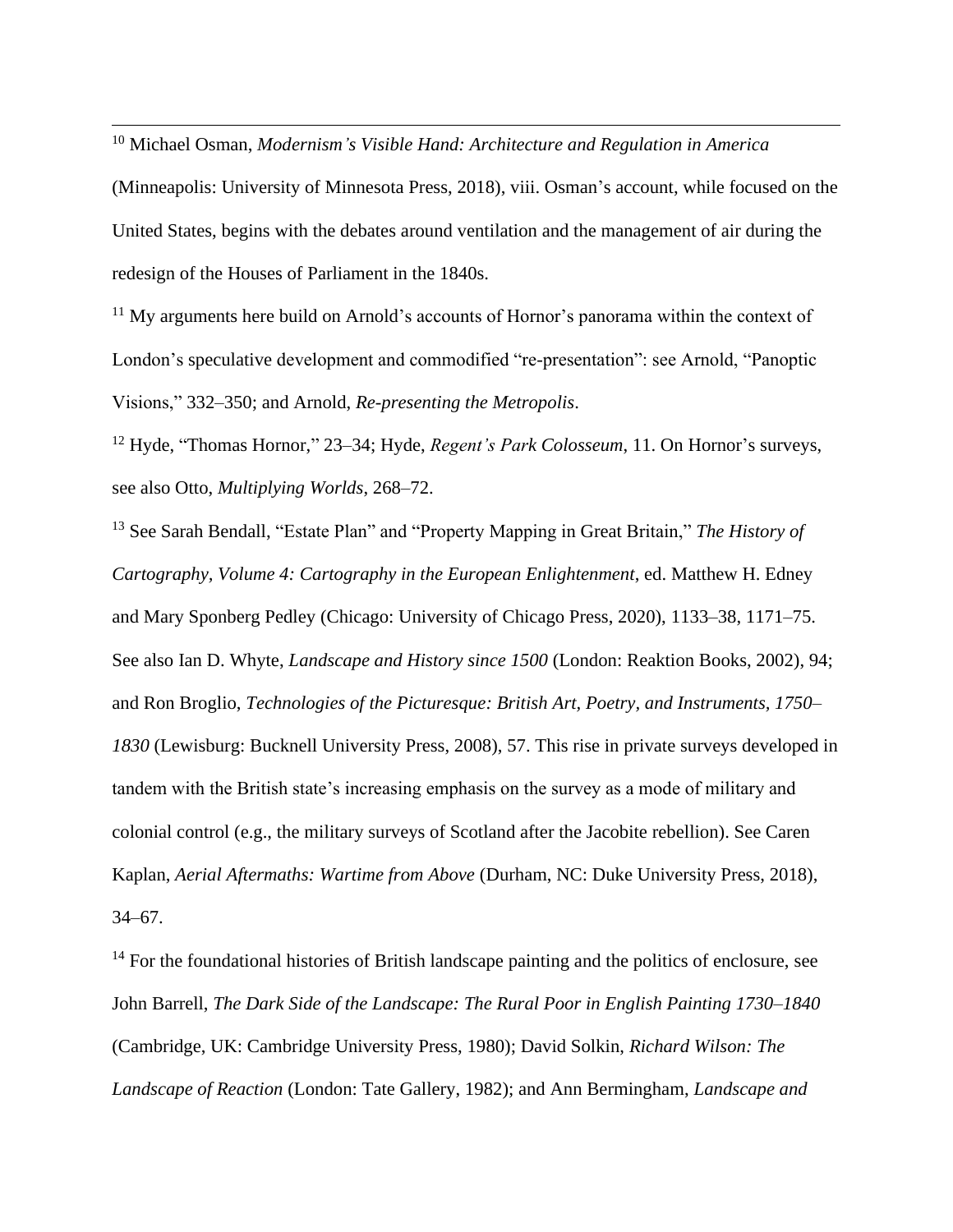<sup>10</sup> Michael Osman, *Modernism's Visible Hand: Architecture and Regulation in America*  (Minneapolis: University of Minnesota Press, 2018), viii. Osman's account, while focused on the United States, begins with the debates around ventilation and the management of air during the redesign of the Houses of Parliament in the 1840s.

<sup>11</sup> My arguments here build on Arnold's accounts of Hornor's panorama within the context of London's speculative development and commodified "re-presentation": see Arnold, "Panoptic Visions," 332–350; and Arnold, *Re-presenting the Metropolis*.

<sup>12</sup> Hyde, "Thomas Hornor," 23–34; Hyde, *Regent's Park Colosseum*, 11. On Hornor's surveys, see also Otto, *Multiplying Worlds*, 268–72.

<sup>13</sup> See Sarah Bendall, "Estate Plan" and "Property Mapping in Great Britain," *The History of Cartography, Volume 4: Cartography in the European Enlightenment*, ed. Matthew H. Edney and Mary Sponberg Pedley (Chicago: University of Chicago Press, 2020), 1133–38, 1171–75. See also Ian D. Whyte, *Landscape and History since 1500* (London: Reaktion Books, 2002), 94; and Ron Broglio, *Technologies of the Picturesque: British Art, Poetry, and Instruments, 1750– 1830* (Lewisburg: Bucknell University Press, 2008), 57. This rise in private surveys developed in tandem with the British state's increasing emphasis on the survey as a mode of military and colonial control (e.g., the military surveys of Scotland after the Jacobite rebellion). See Caren Kaplan, *Aerial Aftermaths: Wartime from Above* (Durham, NC: Duke University Press, 2018), 34–67.

<sup>14</sup> For the foundational histories of British landscape painting and the politics of enclosure, see John Barrell, *The Dark Side of the Landscape: The Rural Poor in English Painting 1730–1840* (Cambridge, UK: Cambridge University Press, 1980); David Solkin, *Richard Wilson: The Landscape of Reaction* (London: Tate Gallery, 1982); and Ann Bermingham, *Landscape and*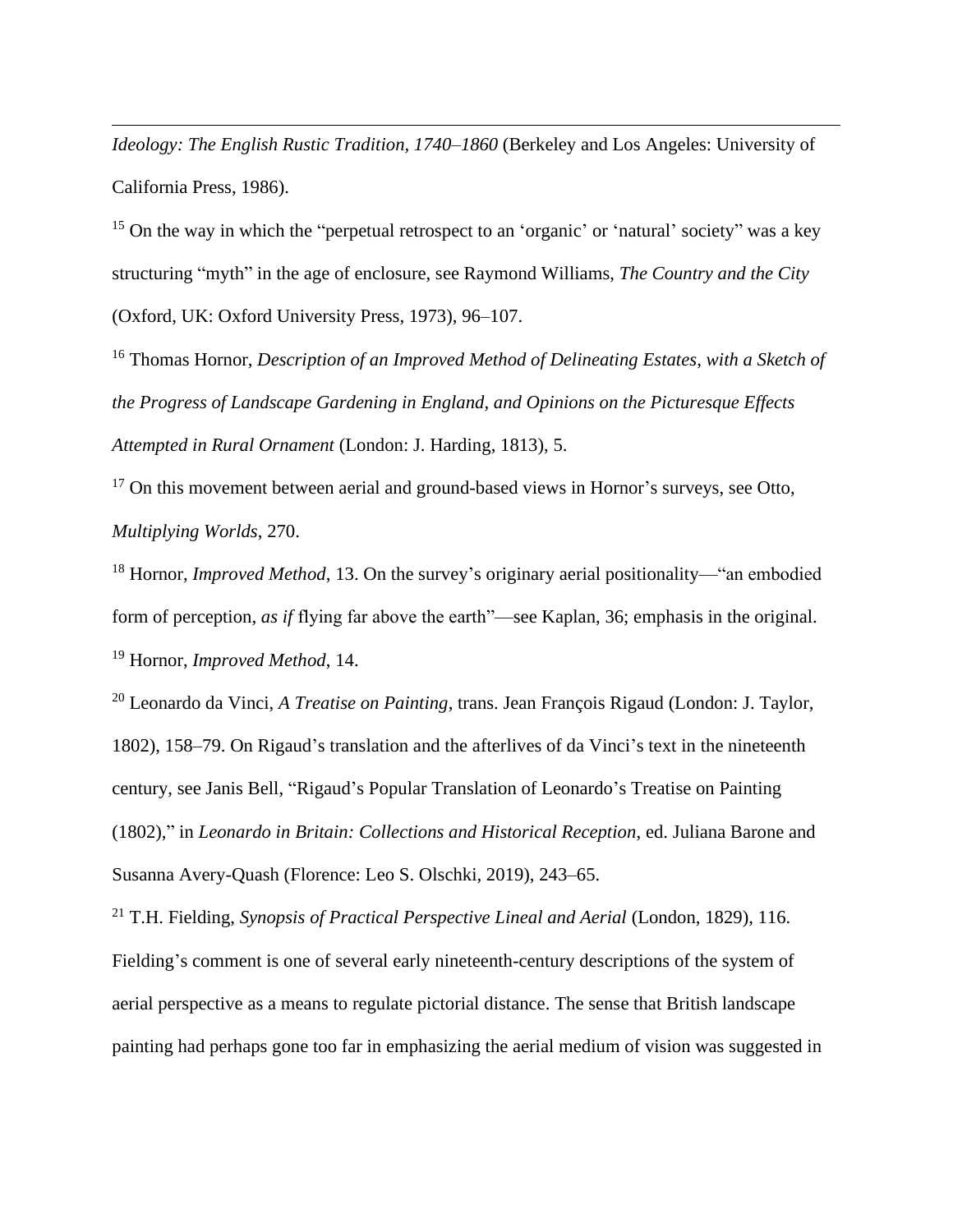*Ideology: The English Rustic Tradition, 1740–1860* (Berkeley and Los Angeles: University of California Press, 1986).

<sup>15</sup> On the way in which the "perpetual retrospect to an 'organic' or 'natural' society" was a key structuring "myth" in the age of enclosure, see Raymond Williams, *The Country and the City* (Oxford, UK: Oxford University Press, 1973), 96–107.

<sup>16</sup> Thomas Hornor, *Description of an Improved Method of Delineating Estates, with a Sketch of the Progress of Landscape Gardening in England, and Opinions on the Picturesque Effects Attempted in Rural Ornament* (London: J. Harding, 1813), 5.

<sup>17</sup> On this movement between aerial and ground-based views in Hornor's surveys, see Otto, *Multiplying Worlds*, 270.

<sup>18</sup> Hornor, *Improved Method*, 13. On the survey's originary aerial positionality—"an embodied form of perception, *as if* flying far above the earth"—see Kaplan, 36; emphasis in the original. <sup>19</sup> Hornor, *Improved Method*, 14.

<sup>20</sup> Leonardo da Vinci, *A Treatise on Painting*, trans. Jean François Rigaud (London: J. Taylor, 1802), 158–79. On Rigaud's translation and the afterlives of da Vinci's text in the nineteenth century, see Janis Bell, "Rigaud's Popular Translation of Leonardo's Treatise on Painting (1802)," in *Leonardo in Britain: Collections and Historical Reception*, ed. Juliana Barone and Susanna Avery-Quash (Florence: Leo S. Olschki, 2019), 243–65.

<sup>21</sup> T.H. Fielding, *Synopsis of Practical Perspective Lineal and Aerial* (London, 1829), 116. Fielding's comment is one of several early nineteenth-century descriptions of the system of aerial perspective as a means to regulate pictorial distance. The sense that British landscape painting had perhaps gone too far in emphasizing the aerial medium of vision was suggested in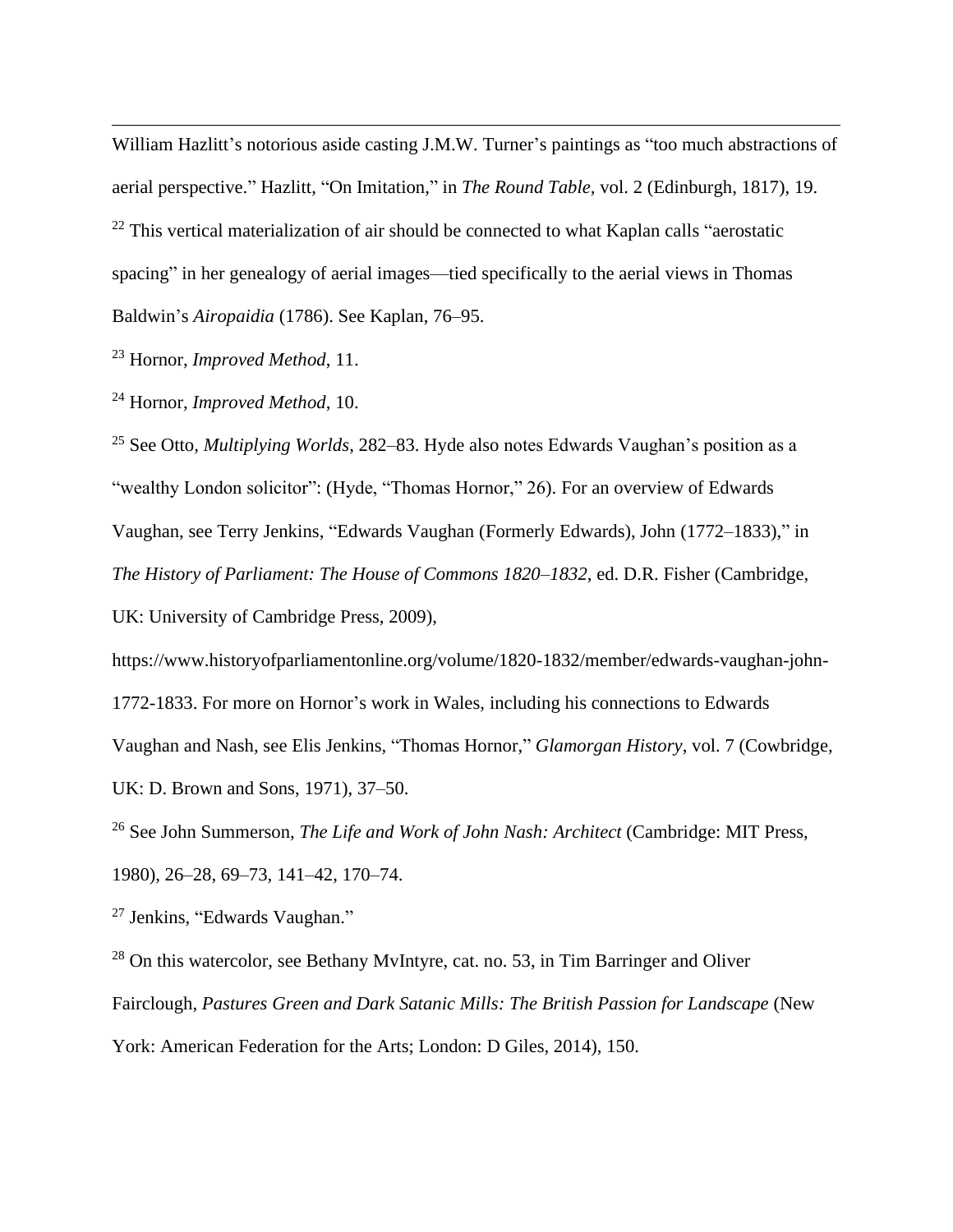William Hazlitt's notorious aside casting J.M.W. Turner's paintings as "too much abstractions of aerial perspective." Hazlitt, "On Imitation," in *The Round Table,* vol. 2 (Edinburgh, 1817), 19.  $22$  This vertical materialization of air should be connected to what Kaplan calls "aerostatic spacing" in her genealogy of aerial images—tied specifically to the aerial views in Thomas Baldwin's *Airopaidia* (1786). See Kaplan, 76–95.

<sup>23</sup> Hornor, *Improved Method*, 11.

<sup>24</sup> Hornor, *Improved Method*, 10.

<sup>25</sup> See Otto, *Multiplying Worlds*, 282–83. Hyde also notes Edwards Vaughan's position as a "wealthy London solicitor": (Hyde, "Thomas Hornor," 26). For an overview of Edwards Vaughan, see Terry Jenkins, "Edwards Vaughan (Formerly Edwards), John (1772–1833)," in *The History of Parliament: The House of Commons 1820–1832*, ed. D.R. Fisher (Cambridge, UK: University of Cambridge Press, 2009),

https://www.historyofparliamentonline.org/volume/1820-1832/member/edwards-vaughan-john-1772-1833. For more on Hornor's work in Wales, including his connections to Edwards Vaughan and Nash, see Elis Jenkins, "Thomas Hornor," *Glamorgan History*, vol. 7 (Cowbridge, UK: D. Brown and Sons, 1971), 37–50.

<sup>26</sup> See John Summerson, *The Life and Work of John Nash: Architect* (Cambridge: MIT Press, 1980), 26–28, 69–73, 141–42, 170–74.

<sup>27</sup> Jenkins, "Edwards Vaughan."

 $28$  On this watercolor, see Bethany MyIntyre, cat. no. 53, in Tim Barringer and Oliver Fairclough, *Pastures Green and Dark Satanic Mills: The British Passion for Landscape* (New York: American Federation for the Arts; London: D Giles, 2014), 150.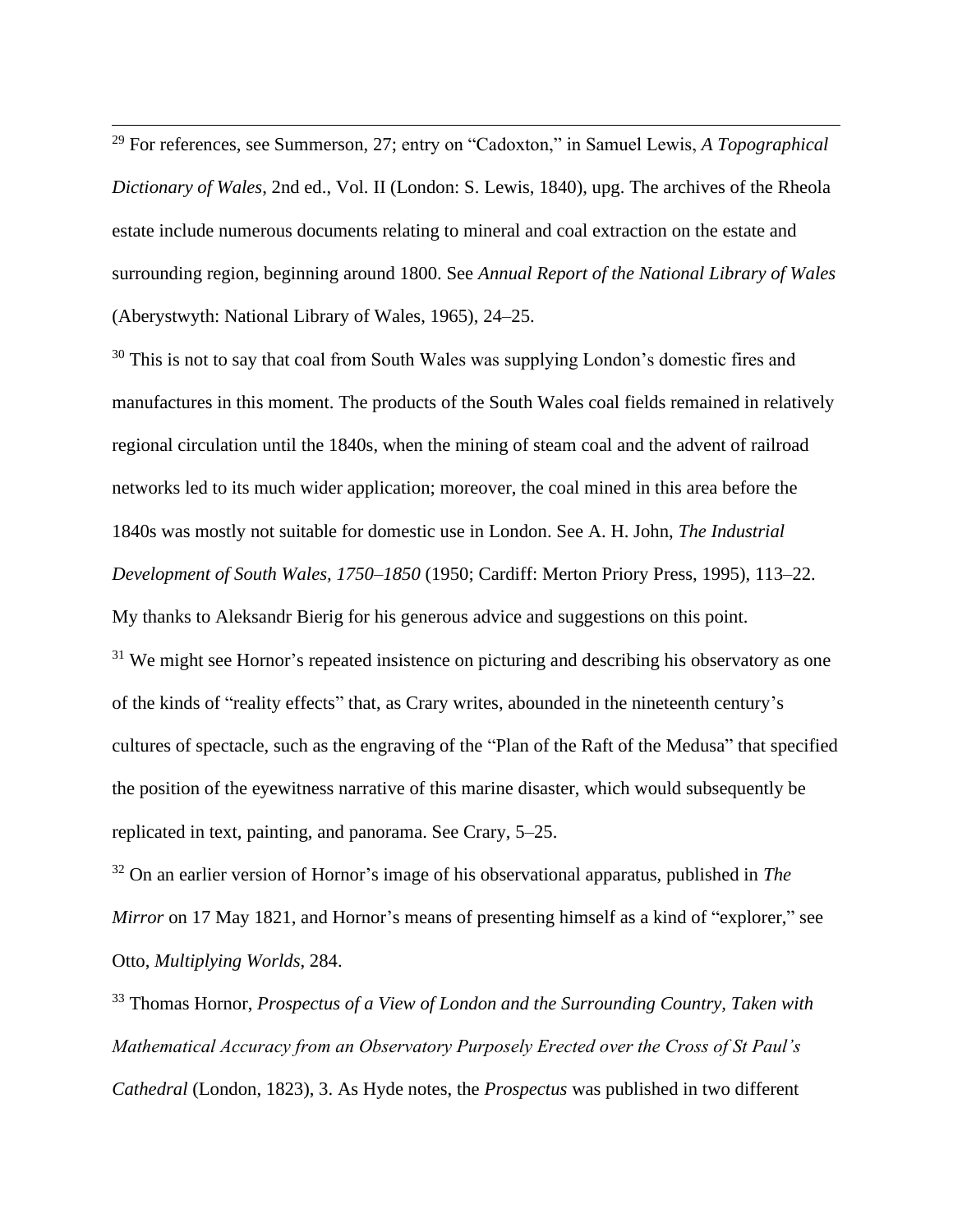<sup>29</sup> For references, see Summerson, 27; entry on "Cadoxton," in Samuel Lewis, *A Topographical Dictionary of Wales*, 2nd ed., Vol. II (London: S. Lewis, 1840), upg. The archives of the Rheola estate include numerous documents relating to mineral and coal extraction on the estate and surrounding region, beginning around 1800. See *Annual Report of the National Library of Wales* (Aberystwyth: National Library of Wales, 1965), 24–25.

<sup>30</sup> This is not to say that coal from South Wales was supplying London's domestic fires and manufactures in this moment. The products of the South Wales coal fields remained in relatively regional circulation until the 1840s, when the mining of steam coal and the advent of railroad networks led to its much wider application; moreover, the coal mined in this area before the 1840s was mostly not suitable for domestic use in London. See A. H. John, *The Industrial Development of South Wales, 1750–1850* (1950; Cardiff: Merton Priory Press, 1995), 113–22. My thanks to Aleksandr Bierig for his generous advice and suggestions on this point.  $31$  We might see Hornor's repeated insistence on picturing and describing his observatory as one of the kinds of "reality effects" that, as Crary writes, abounded in the nineteenth century's cultures of spectacle, such as the engraving of the "Plan of the Raft of the Medusa" that specified the position of the eyewitness narrative of this marine disaster, which would subsequently be replicated in text, painting, and panorama. See Crary, 5–25.

<sup>32</sup> On an earlier version of Hornor's image of his observational apparatus, published in *The Mirror* on 17 May 1821, and Hornor's means of presenting himself as a kind of "explorer," see Otto, *Multiplying Worlds*, 284.

<sup>33</sup> Thomas Hornor, *Prospectus of a View of London and the Surrounding Country, Taken with Mathematical Accuracy from an Observatory Purposely Erected over the Cross of St Paul's Cathedral* (London, 1823), 3. As Hyde notes, the *Prospectus* was published in two different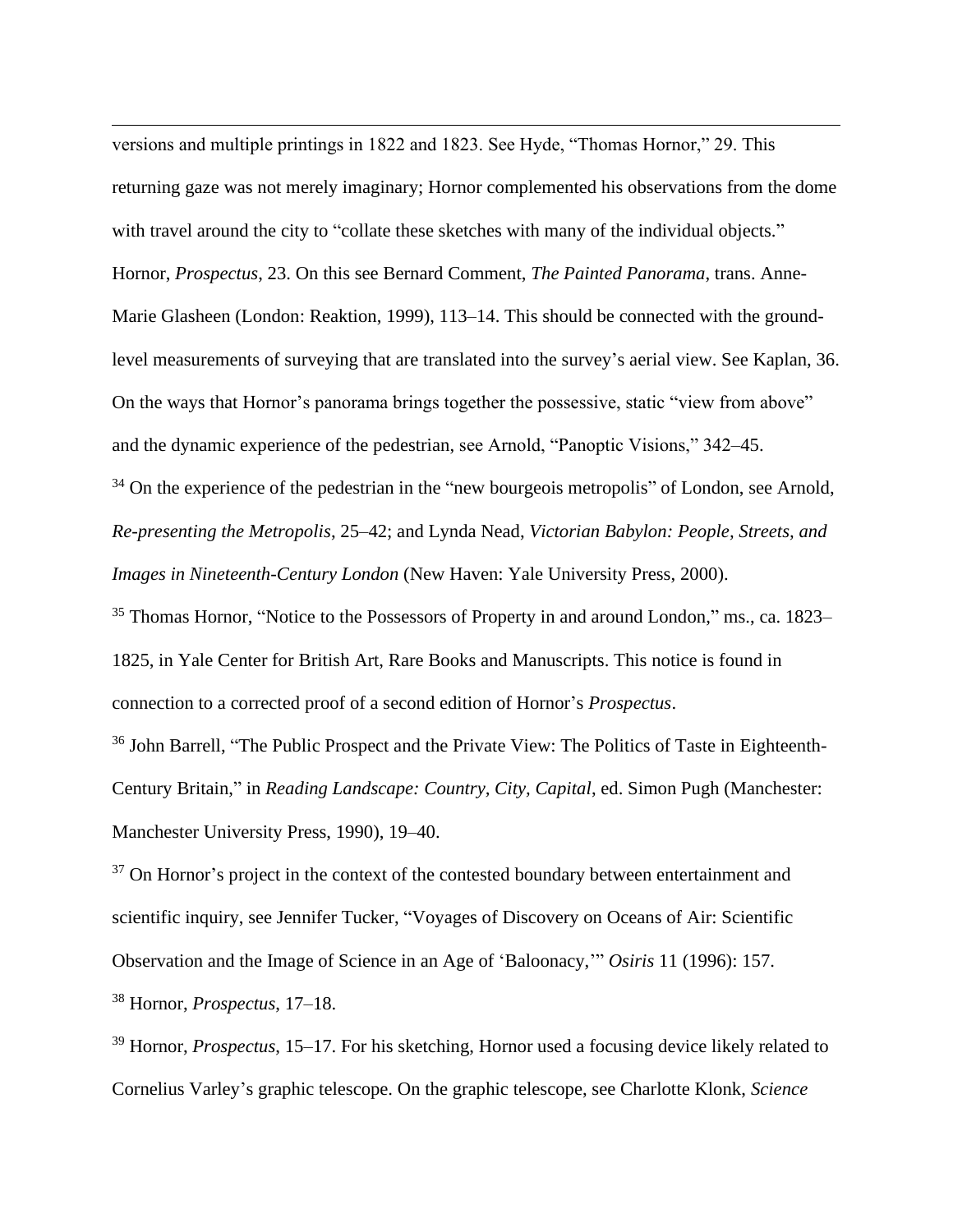versions and multiple printings in 1822 and 1823. See Hyde, "Thomas Hornor," 29. This returning gaze was not merely imaginary; Hornor complemented his observations from the dome with travel around the city to "collate these sketches with many of the individual objects." Hornor, *Prospectus*, 23. On this see Bernard Comment, *The Painted Panorama*, trans. Anne-Marie Glasheen (London: Reaktion, 1999), 113–14. This should be connected with the groundlevel measurements of surveying that are translated into the survey's aerial view. See Kaplan, 36. On the ways that Hornor's panorama brings together the possessive, static "view from above" and the dynamic experience of the pedestrian, see Arnold, "Panoptic Visions," 342–45.

 $34$  On the experience of the pedestrian in the "new bourgeois metropolis" of London, see Arnold, *Re-presenting the Metropolis*, 25–42; and Lynda Nead, *Victorian Babylon: People, Streets, and Images in Nineteenth-Century London* (New Haven: Yale University Press, 2000).

<sup>35</sup> Thomas Hornor, "Notice to the Possessors of Property in and around London," ms., ca. 1823– 1825, in Yale Center for British Art, Rare Books and Manuscripts. This notice is found in connection to a corrected proof of a second edition of Hornor's *Prospectus*.

<sup>36</sup> John Barrell, "The Public Prospect and the Private View: The Politics of Taste in Eighteenth-Century Britain," in *Reading Landscape: Country, City, Capital*, ed. Simon Pugh (Manchester: Manchester University Press, 1990), 19–40.

 $37$  On Hornor's project in the context of the contested boundary between entertainment and scientific inquiry, see Jennifer Tucker, "Voyages of Discovery on Oceans of Air: Scientific Observation and the Image of Science in an Age of 'Baloonacy,'" *Osiris* 11 (1996): 157. <sup>38</sup> Hornor, *Prospectus*, 17–18.

<sup>39</sup> Hornor, *Prospectus*, 15–17. For his sketching, Hornor used a focusing device likely related to Cornelius Varley's graphic telescope. On the graphic telescope, see Charlotte Klonk, *Science*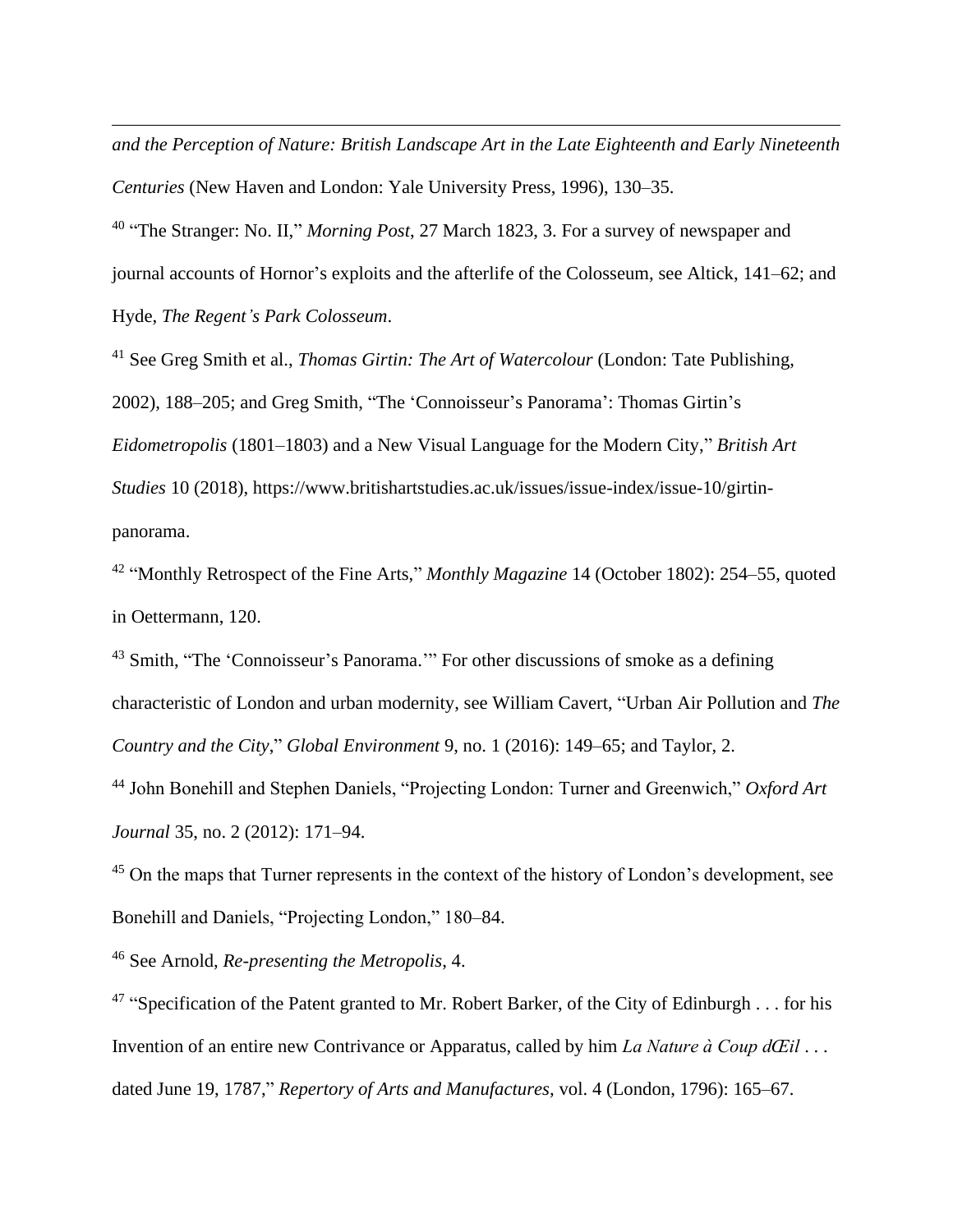*and the Perception of Nature: British Landscape Art in the Late Eighteenth and Early Nineteenth Centuries* (New Haven and London: Yale University Press, 1996), 130–35.

40 "The Stranger: No. II," *Morning Post*, 27 March 1823, 3. For a survey of newspaper and journal accounts of Hornor's exploits and the afterlife of the Colosseum, see Altick, 141–62; and Hyde, *The Regent's Park Colosseum*.

<sup>41</sup> See Greg Smith et al., *Thomas Girtin: The Art of Watercolour* (London: Tate Publishing, 2002), 188–205; and Greg Smith, "The 'Connoisseur's Panorama': Thomas Girtin's *Eidometropolis* (1801–1803) and a New Visual Language for the Modern City," *British Art Studies* 10 (2018), https://www.britishartstudies.ac.uk/issues/issue-index/issue-10/girtinpanorama.

42 "Monthly Retrospect of the Fine Arts," *Monthly Magazine* 14 (October 1802): 254–55, quoted in Oettermann, 120.

<sup>43</sup> Smith, "The 'Connoisseur's Panorama." For other discussions of smoke as a defining characteristic of London and urban modernity, see William Cavert, "Urban Air Pollution and *The Country and the City*," *Global Environment* 9, no. 1 (2016): 149–65; and Taylor, 2.

<sup>44</sup> John Bonehill and Stephen Daniels, "Projecting London: Turner and Greenwich," *Oxford Art Journal* 35, no. 2 (2012): 171–94.

<sup>45</sup> On the maps that Turner represents in the context of the history of London's development, see Bonehill and Daniels, "Projecting London," 180–84.

<sup>46</sup> See Arnold, *Re-presenting the Metropolis*, 4.

<sup>47</sup> "Specification of the Patent granted to Mr. Robert Barker, of the City of Edinburgh  $\dots$  for his Invention of an entire new Contrivance or Apparatus, called by him *La Nature à Coup dŒil* . . . dated June 19, 1787," *Repertory of Arts and Manufactures,* vol. 4 (London, 1796): 165–67.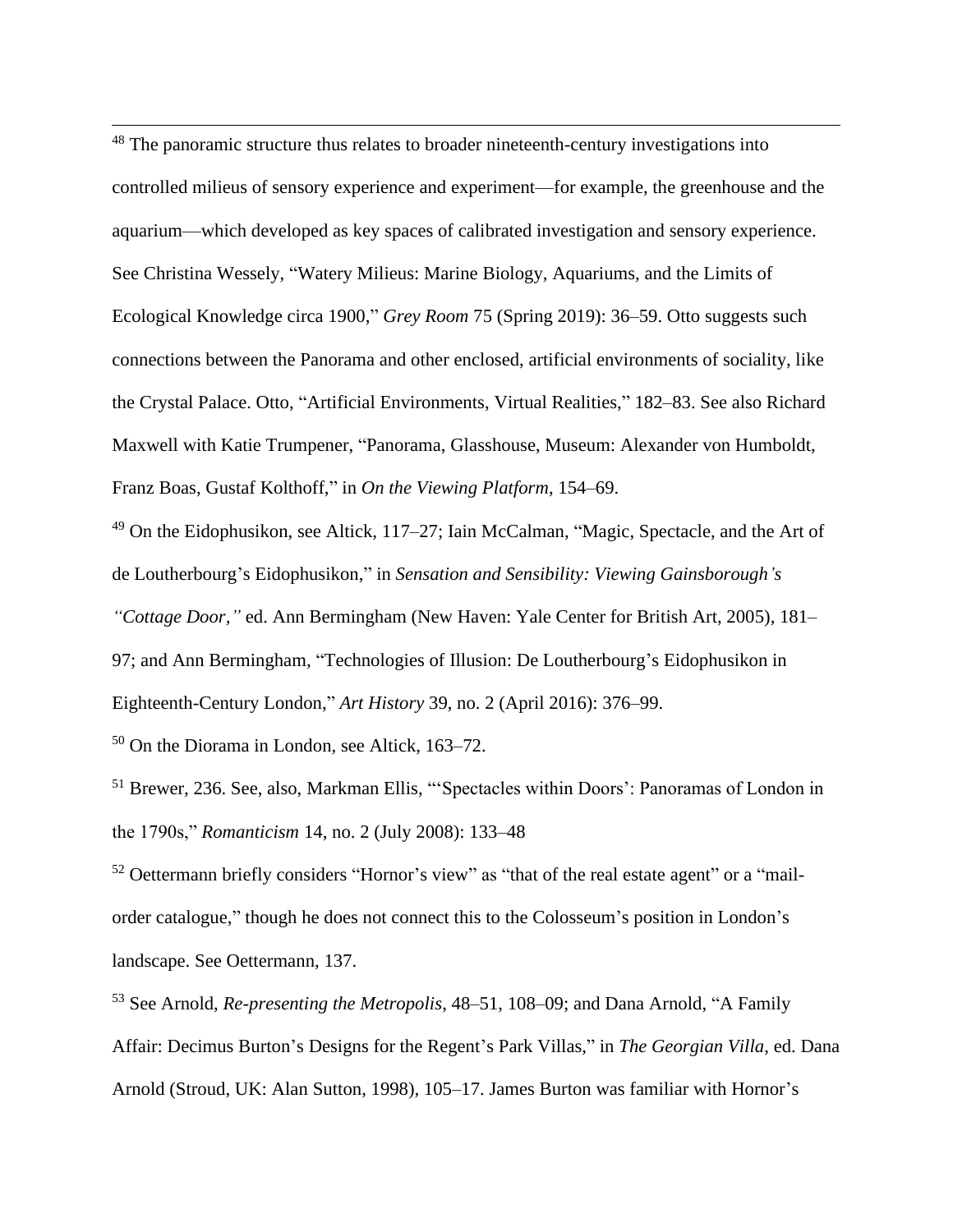<sup>48</sup> The panoramic structure thus relates to broader nineteenth-century investigations into controlled milieus of sensory experience and experiment—for example, the greenhouse and the aquarium—which developed as key spaces of calibrated investigation and sensory experience. See Christina Wessely, "Watery Milieus: Marine Biology, Aquariums, and the Limits of Ecological Knowledge circa 1900," *Grey Room* 75 (Spring 2019): 36–59. Otto suggests such connections between the Panorama and other enclosed, artificial environments of sociality, like the Crystal Palace. Otto, "Artificial Environments, Virtual Realities," 182–83. See also Richard Maxwell with Katie Trumpener, "Panorama, Glasshouse, Museum: Alexander von Humboldt, Franz Boas, Gustaf Kolthoff," in *On the Viewing Platform*, 154–69.

<sup>49</sup> On the Eidophusikon, see Altick, 117–27; Iain McCalman, "Magic, Spectacle, and the Art of de Loutherbourg's Eidophusikon," in *Sensation and Sensibility: Viewing Gainsborough's* 

*"Cottage Door,"* ed. Ann Bermingham (New Haven: Yale Center for British Art, 2005), 181– 97; and Ann Bermingham, "Technologies of Illusion: De Loutherbourg's Eidophusikon in Eighteenth-Century London," *Art History* 39, no. 2 (April 2016): 376–99.

<sup>50</sup> On the Diorama in London, see Altick, 163–72.

<sup>51</sup> Brewer, 236. See, also, Markman Ellis, "'Spectacles within Doors': Panoramas of London in the 1790s," *Romanticism* 14, no. 2 (July 2008): 133–48

<sup>52</sup> Oettermann briefly considers "Hornor's view" as "that of the real estate agent" or a "mailorder catalogue," though he does not connect this to the Colosseum's position in London's landscape. See Oettermann, 137.

<sup>53</sup> See Arnold, *Re-presenting the Metropolis*, 48–51, 108–09; and Dana Arnold, "A Family Affair: Decimus Burton's Designs for the Regent's Park Villas," in *The Georgian Villa*, ed. Dana Arnold (Stroud, UK: Alan Sutton, 1998), 105–17. James Burton was familiar with Hornor's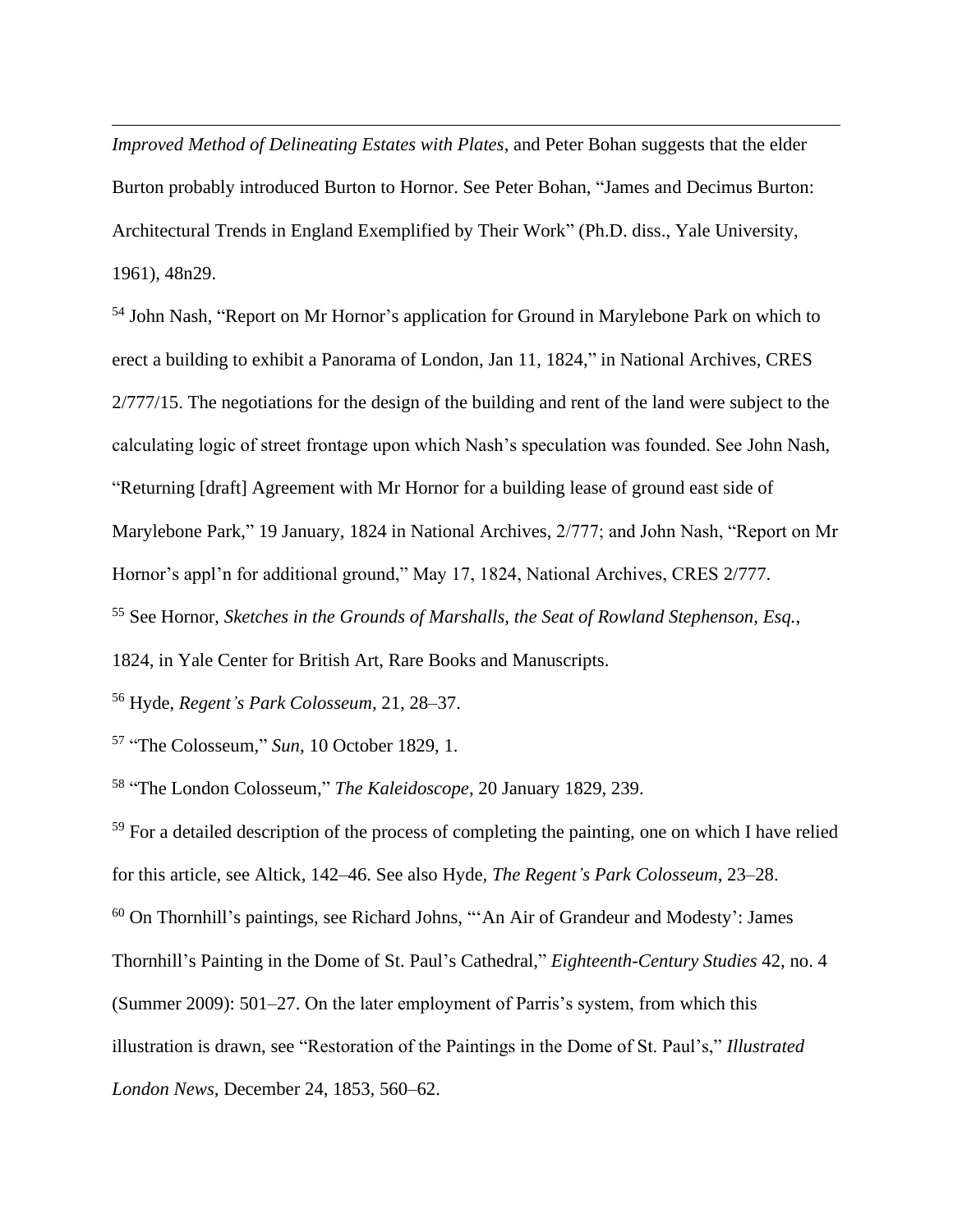*Improved Method of Delineating Estates with Plates*, and Peter Bohan suggests that the elder Burton probably introduced Burton to Hornor. See Peter Bohan, "James and Decimus Burton: Architectural Trends in England Exemplified by Their Work" (Ph.D. diss., Yale University, 1961), 48n29.

<sup>54</sup> John Nash, "Report on Mr Hornor's application for Ground in Marylebone Park on which to erect a building to exhibit a Panorama of London, Jan 11, 1824," in National Archives, CRES 2/777/15. The negotiations for the design of the building and rent of the land were subject to the calculating logic of street frontage upon which Nash's speculation was founded. See John Nash, "Returning [draft] Agreement with Mr Hornor for a building lease of ground east side of Marylebone Park," 19 January, 1824 in National Archives, 2/777; and John Nash, "Report on Mr Hornor's appl'n for additional ground," May 17, 1824, National Archives, CRES 2/777. <sup>55</sup> See Hornor, *Sketches in the Grounds of Marshalls, the Seat of Rowland Stephenson, Esq.*,

1824, in Yale Center for British Art, Rare Books and Manuscripts.

<sup>56</sup> Hyde, *Regent's Park Colosseum*, 21, 28–37.

57 "The Colosseum," *Sun*, 10 October 1829, 1.

58 "The London Colosseum," *The Kaleidoscope*, 20 January 1829, 239.

<sup>59</sup> For a detailed description of the process of completing the painting, one on which I have relied for this article, see Altick, 142–46. See also Hyde, *The Regent's Park Colosseum*, 23–28.

 $60$  On Thornhill's paintings, see Richard Johns, "'An Air of Grandeur and Modesty': James

Thornhill's Painting in the Dome of St. Paul's Cathedral," *Eighteenth-Century Studies* 42, no. 4

(Summer 2009): 501–27. On the later employment of Parris's system, from which this

illustration is drawn, see "Restoration of the Paintings in the Dome of St. Paul's," *Illustrated* 

*London News*, December 24, 1853, 560–62.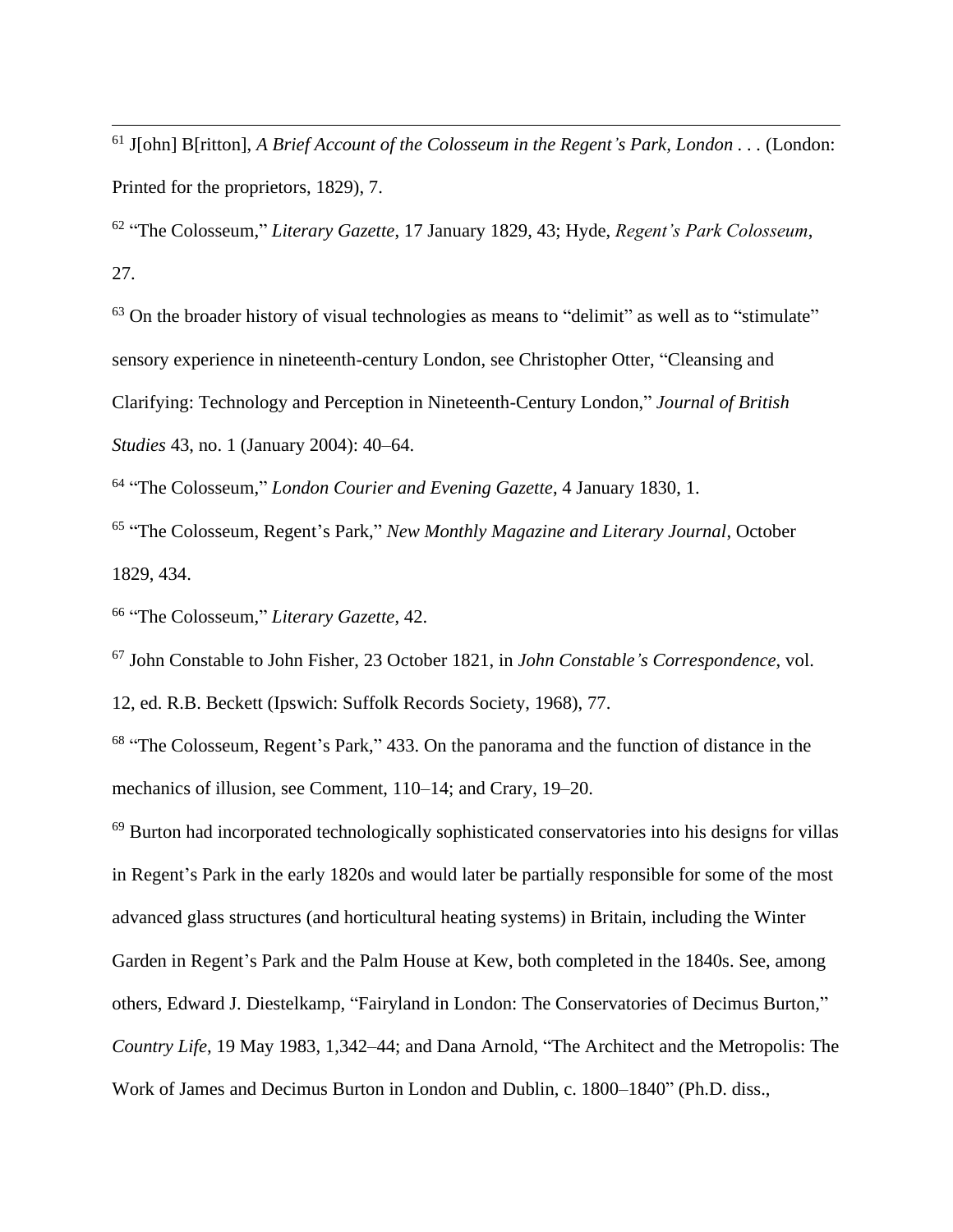<sup>61</sup> J[ohn] B[ritton], *A Brief Account of the Colosseum in the Regent's Park, London . . .* (London: Printed for the proprietors, 1829), 7.

62 "The Colosseum," *Literary Gazette*, 17 January 1829, 43; Hyde, *Regent's Park Colosseum*, 27.

 $63$  On the broader history of visual technologies as means to "delimit" as well as to "stimulate" sensory experience in nineteenth-century London, see Christopher Otter, "Cleansing and Clarifying: Technology and Perception in Nineteenth-Century London," *Journal of British Studies* 43, no. 1 (January 2004): 40–64.

64 "The Colosseum," *London Courier and Evening Gazette*, 4 January 1830, 1.

65 "The Colosseum, Regent's Park," *New Monthly Magazine and Literary Journal*, October 1829, 434.

66 "The Colosseum," *Literary Gazette*, 42.

<sup>67</sup> John Constable to John Fisher, 23 October 1821, in *John Constable's Correspondence*, vol.

12, ed. R.B. Beckett (Ipswich: Suffolk Records Society, 1968), 77.

<sup>68</sup> "The Colosseum, Regent's Park," 433. On the panorama and the function of distance in the mechanics of illusion, see Comment, 110–14; and Crary, 19–20.

<sup>69</sup> Burton had incorporated technologically sophisticated conservatories into his designs for villas in Regent's Park in the early 1820s and would later be partially responsible for some of the most advanced glass structures (and horticultural heating systems) in Britain, including the Winter Garden in Regent's Park and the Palm House at Kew, both completed in the 1840s. See, among others, Edward J. Diestelkamp, "Fairyland in London: The Conservatories of Decimus Burton," *Country Life*, 19 May 1983, 1,342–44; and Dana Arnold, "The Architect and the Metropolis: The Work of James and Decimus Burton in London and Dublin, c. 1800–1840" (Ph.D. diss.,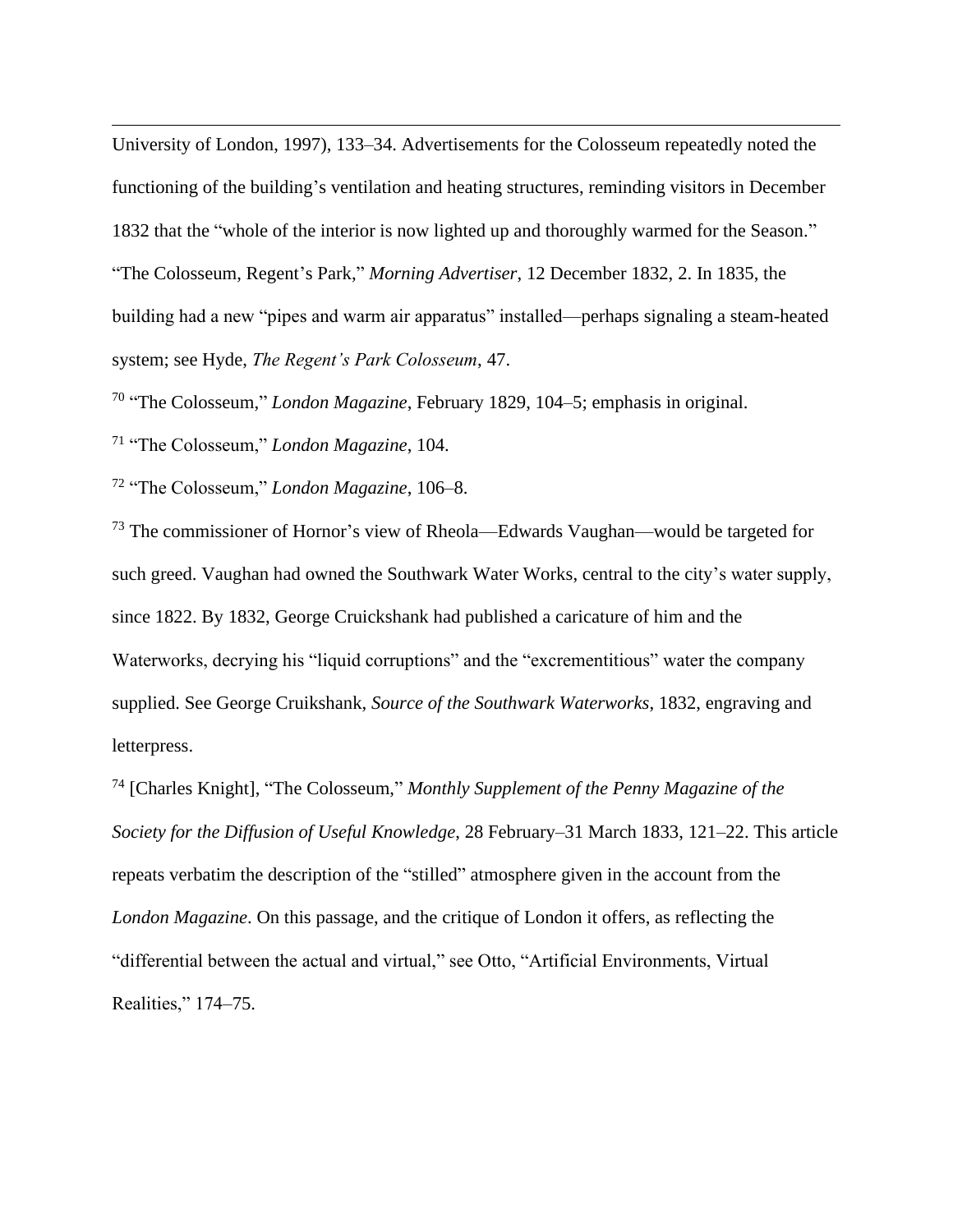University of London, 1997), 133–34. Advertisements for the Colosseum repeatedly noted the functioning of the building's ventilation and heating structures, reminding visitors in December 1832 that the "whole of the interior is now lighted up and thoroughly warmed for the Season." "The Colosseum, Regent's Park," *Morning Advertiser*, 12 December 1832, 2. In 1835, the building had a new "pipes and warm air apparatus" installed—perhaps signaling a steam-heated system; see Hyde, *The Regent's Park Colosseum*, 47.

70 "The Colosseum," *London Magazine*, February 1829, 104–5; emphasis in original.

<sup>71</sup> "The Colosseum," *London Magazine*, 104.

<sup>72</sup> "The Colosseum," *London Magazine*, 106–8.

<sup>73</sup> The commissioner of Hornor's view of Rheola—Edwards Vaughan—would be targeted for such greed. Vaughan had owned the Southwark Water Works, central to the city's water supply, since 1822. By 1832, George Cruickshank had published a caricature of him and the Waterworks, decrying his "liquid corruptions" and the "excrementitious" water the company supplied. See George Cruikshank, *Source of the Southwark Waterworks*, 1832, engraving and letterpress.

<sup>74</sup> [Charles Knight], "The Colosseum," *Monthly Supplement of the Penny Magazine of the Society for the Diffusion of Useful Knowledge*, 28 February–31 March 1833, 121–22. This article repeats verbatim the description of the "stilled" atmosphere given in the account from the *London Magazine*. On this passage, and the critique of London it offers, as reflecting the "differential between the actual and virtual," see Otto, "Artificial Environments, Virtual Realities," 174–75.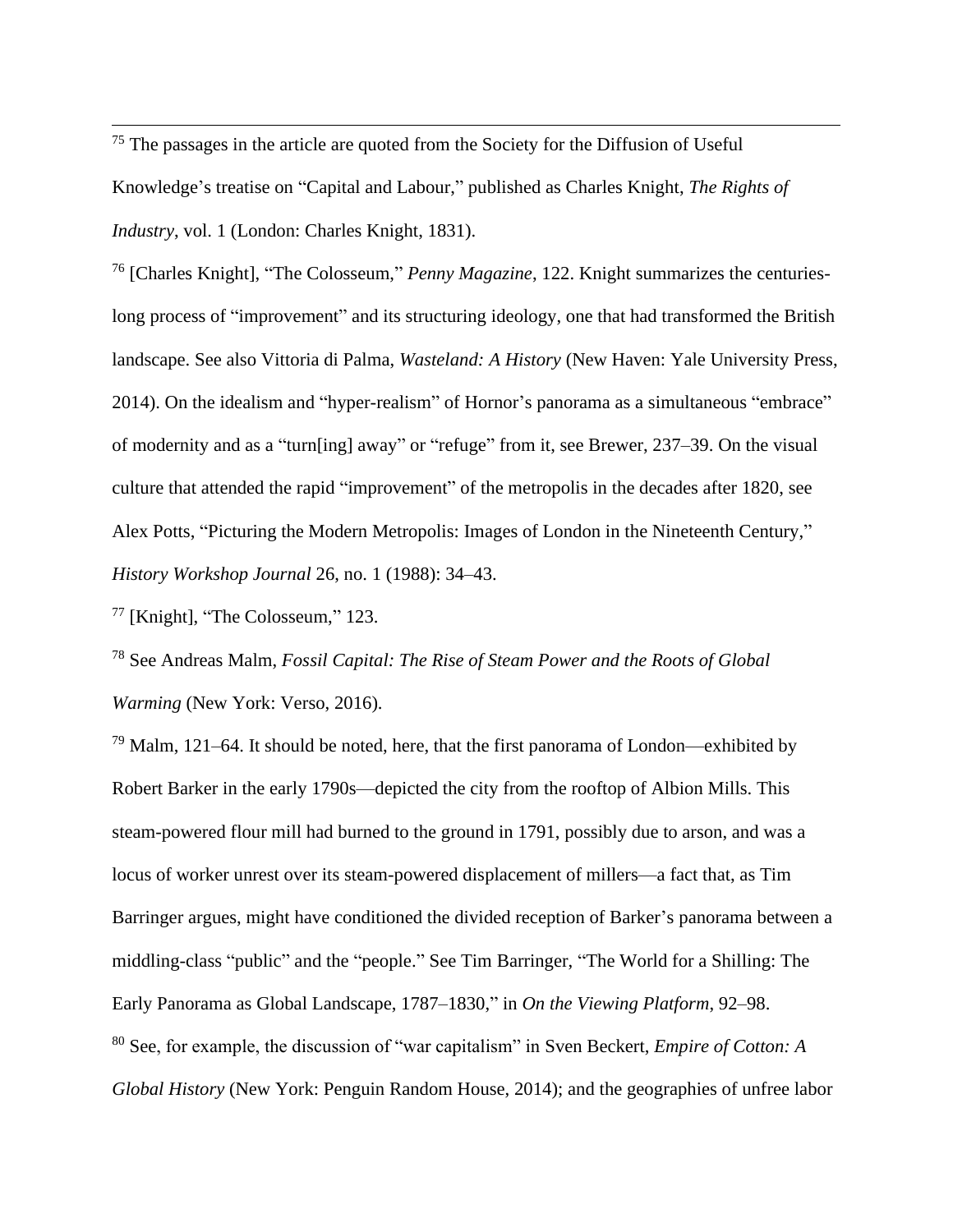$75$  The passages in the article are quoted from the Society for the Diffusion of Useful Knowledge's treatise on "Capital and Labour," published as Charles Knight, *The Rights of Industry*, vol. 1 (London: Charles Knight, 1831).

<sup>76</sup> [Charles Knight], "The Colosseum," *Penny Magazine*, 122. Knight summarizes the centurieslong process of "improvement" and its structuring ideology, one that had transformed the British landscape. See also Vittoria di Palma, *Wasteland: A History* (New Haven: Yale University Press, 2014). On the idealism and "hyper-realism" of Hornor's panorama as a simultaneous "embrace" of modernity and as a "turn[ing] away" or "refuge" from it, see Brewer, 237–39. On the visual culture that attended the rapid "improvement" of the metropolis in the decades after 1820, see Alex Potts, "Picturing the Modern Metropolis: Images of London in the Nineteenth Century," *History Workshop Journal* 26, no. 1 (1988): 34–43.

<sup>77</sup> [Knight], "The Colosseum," 123.

<sup>78</sup> See Andreas Malm, *Fossil Capital: The Rise of Steam Power and the Roots of Global Warming* (New York: Verso, 2016).

 $79$  Malm, 121–64. It should be noted, here, that the first panorama of London—exhibited by Robert Barker in the early 1790s—depicted the city from the rooftop of Albion Mills. This steam-powered flour mill had burned to the ground in 1791, possibly due to arson, and was a locus of worker unrest over its steam-powered displacement of millers—a fact that, as Tim Barringer argues, might have conditioned the divided reception of Barker's panorama between a middling-class "public" and the "people." See Tim Barringer, "The World for a Shilling: The Early Panorama as Global Landscape, 1787–1830," in *On the Viewing Platform*, 92–98. <sup>80</sup> See, for example, the discussion of "war capitalism" in Sven Beckert, *Empire of Cotton: A Global History* (New York: Penguin Random House, 2014); and the geographies of unfree labor